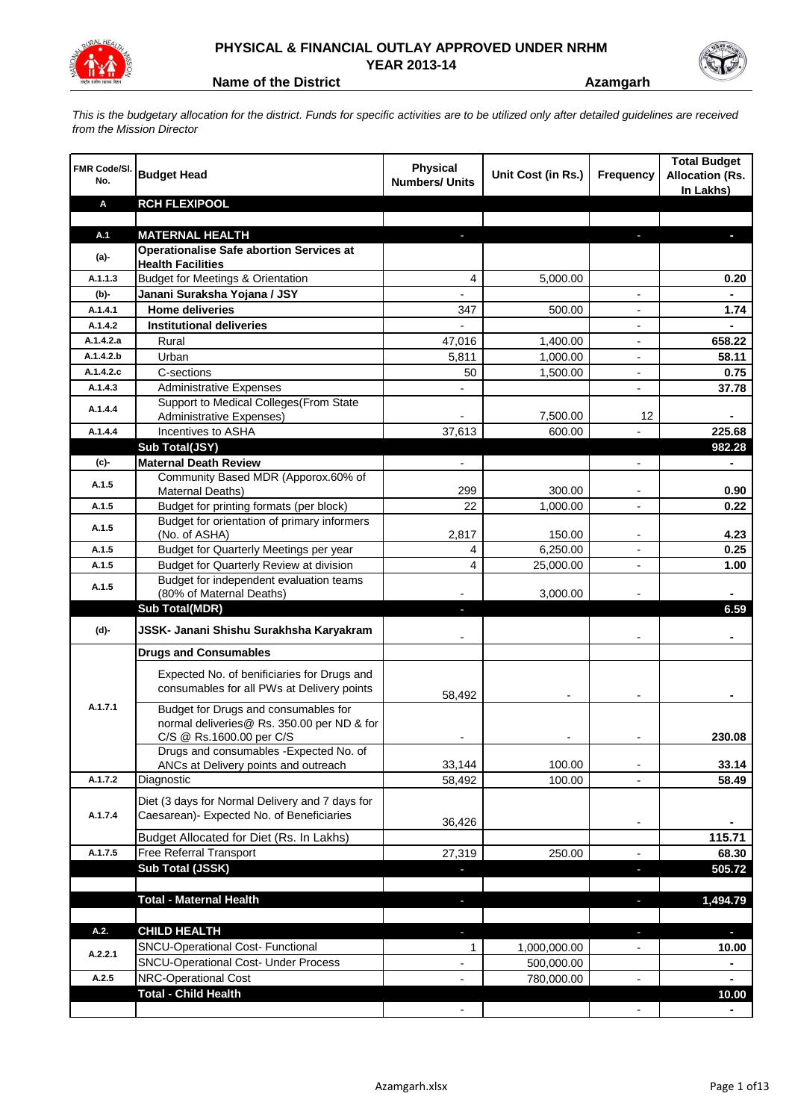

## **PHYSICAL & FINANCIAL OUTLAY APPROVED UNDER NRHM YEAR 2013-14**

**Name of the District <b>Azamgarh Azamgarh** 

*This is the budgetary allocation for the district. Funds for specific activities are to be utilized only after detailed guidelines are received from the Mission Director*

| <b>FMR Code/SI.</b><br>No. | <b>Budget Head</b>                                                                                             | Physical<br><b>Numbers/ Units</b> | Unit Cost (in Rs.) | <b>Frequency</b>         | <b>Total Budget</b><br><b>Allocation (Rs.</b><br>In Lakhs) |
|----------------------------|----------------------------------------------------------------------------------------------------------------|-----------------------------------|--------------------|--------------------------|------------------------------------------------------------|
| Α                          | <b>RCH FLEXIPOOL</b>                                                                                           |                                   |                    |                          |                                                            |
|                            |                                                                                                                |                                   |                    |                          |                                                            |
| A.1                        | <b>MATERNAL HEALTH</b>                                                                                         |                                   |                    |                          |                                                            |
| $(a)$ -                    | <b>Operationalise Safe abortion Services at</b><br><b>Health Facilities</b>                                    |                                   |                    |                          |                                                            |
| A.1.1.3                    | <b>Budget for Meetings &amp; Orientation</b>                                                                   | 4                                 | 5,000.00           |                          | 0.20                                                       |
| (b)-                       | Janani Suraksha Yojana / JSY                                                                                   |                                   |                    |                          |                                                            |
| A.1.4.1                    | <b>Home deliveries</b>                                                                                         | 347                               | 500.00             |                          | 1.74                                                       |
| A.1.4.2                    | <b>Institutional deliveries</b>                                                                                |                                   |                    |                          |                                                            |
| A.1.4.2.a                  | Rural                                                                                                          | 47,016                            | 1,400.00           |                          | 658.22                                                     |
| A.1.4.2.b                  | Urban                                                                                                          | 5,811                             | 1,000.00           | $\overline{\phantom{a}}$ | 58.11                                                      |
| A.1.4.2.c                  | C-sections                                                                                                     | 50                                | 1,500.00           | $\overline{\phantom{a}}$ | 0.75                                                       |
| A.1.4.3                    | <b>Administrative Expenses</b>                                                                                 |                                   |                    | $\overline{a}$           | 37.78                                                      |
| A.1.4.4                    | Support to Medical Colleges(From State                                                                         |                                   |                    |                          |                                                            |
|                            | Administrative Expenses)                                                                                       |                                   | 7,500.00           | 12                       |                                                            |
| A.1.4.4                    | Incentives to ASHA                                                                                             | 37,613                            | 600.00             |                          | 225.68                                                     |
|                            | Sub Total(JSY)                                                                                                 |                                   |                    |                          | 982.28                                                     |
| (c)-                       | <b>Maternal Death Review</b>                                                                                   | $\overline{\phantom{a}}$          |                    | $\overline{\phantom{a}}$ |                                                            |
| A.1.5                      | Community Based MDR (Apporox.60% of<br>Maternal Deaths)                                                        | 299                               | 300.00             |                          | 0.90                                                       |
| A.1.5                      | Budget for printing formats (per block)                                                                        | 22                                | 1,000.00           |                          | 0.22                                                       |
|                            | Budget for orientation of primary informers                                                                    |                                   |                    |                          |                                                            |
| A.1.5                      | (No. of ASHA)                                                                                                  | 2,817                             | 150.00             |                          | 4.23                                                       |
| A.1.5                      | Budget for Quarterly Meetings per year                                                                         | 4                                 | 6,250.00           |                          | 0.25                                                       |
| A.1.5                      | Budget for Quarterly Review at division                                                                        | 4                                 | 25,000.00          |                          | 1.00                                                       |
| A.1.5                      | Budget for independent evaluation teams                                                                        |                                   |                    |                          |                                                            |
|                            | (80% of Maternal Deaths)                                                                                       |                                   | 3,000.00           |                          |                                                            |
|                            | <b>Sub Total(MDR)</b>                                                                                          |                                   |                    |                          | 6.59                                                       |
| (d)-                       | JSSK- Janani Shishu Surakhsha Karyakram                                                                        |                                   |                    |                          |                                                            |
|                            | <b>Drugs and Consumables</b>                                                                                   |                                   |                    |                          |                                                            |
|                            | Expected No. of benificiaries for Drugs and<br>consumables for all PWs at Delivery points                      | 58,492                            |                    |                          |                                                            |
| A.1.7.1                    | Budget for Drugs and consumables for<br>normal deliveries@ Rs. 350.00 per ND & for<br>C/S @ Rs.1600.00 per C/S |                                   |                    |                          | 230.08                                                     |
|                            | Drugs and consumables - Expected No. of                                                                        |                                   |                    |                          |                                                            |
|                            | ANCs at Delivery points and outreach                                                                           | 33,144                            | 100.00             |                          | 33.14                                                      |
| A.1.7.2                    | Diagnostic                                                                                                     | 58,492                            | 100.00             |                          | 58.49                                                      |
| A.1.7.4                    | Diet (3 days for Normal Delivery and 7 days for<br>Caesarean)- Expected No. of Beneficiaries                   | 36,426                            |                    | $\overline{\phantom{a}}$ |                                                            |
|                            | Budget Allocated for Diet (Rs. In Lakhs)                                                                       |                                   |                    |                          | 115.71                                                     |
| A.1.7.5                    | Free Referral Transport                                                                                        | 27,319                            | 250.00             | $\overline{\phantom{a}}$ | 68.30                                                      |
|                            | Sub Total (JSSK)                                                                                               |                                   |                    | J,                       | 505.72                                                     |
|                            |                                                                                                                |                                   |                    |                          |                                                            |
|                            | <b>Total - Maternal Health</b>                                                                                 |                                   |                    |                          | 1,494.79                                                   |
| A.2.                       | <b>CHILD HEALTH</b>                                                                                            |                                   |                    |                          | н                                                          |
|                            | SNCU-Operational Cost- Functional                                                                              | 1                                 | 1,000,000.00       |                          | 10.00                                                      |
| A.2.2.1                    | SNCU-Operational Cost- Under Process                                                                           |                                   | 500,000.00         |                          |                                                            |
| A.2.5                      | NRC-Operational Cost                                                                                           |                                   | 780,000.00         |                          |                                                            |
|                            | <b>Total - Child Health</b>                                                                                    |                                   |                    |                          | 10.00                                                      |
|                            |                                                                                                                |                                   |                    |                          |                                                            |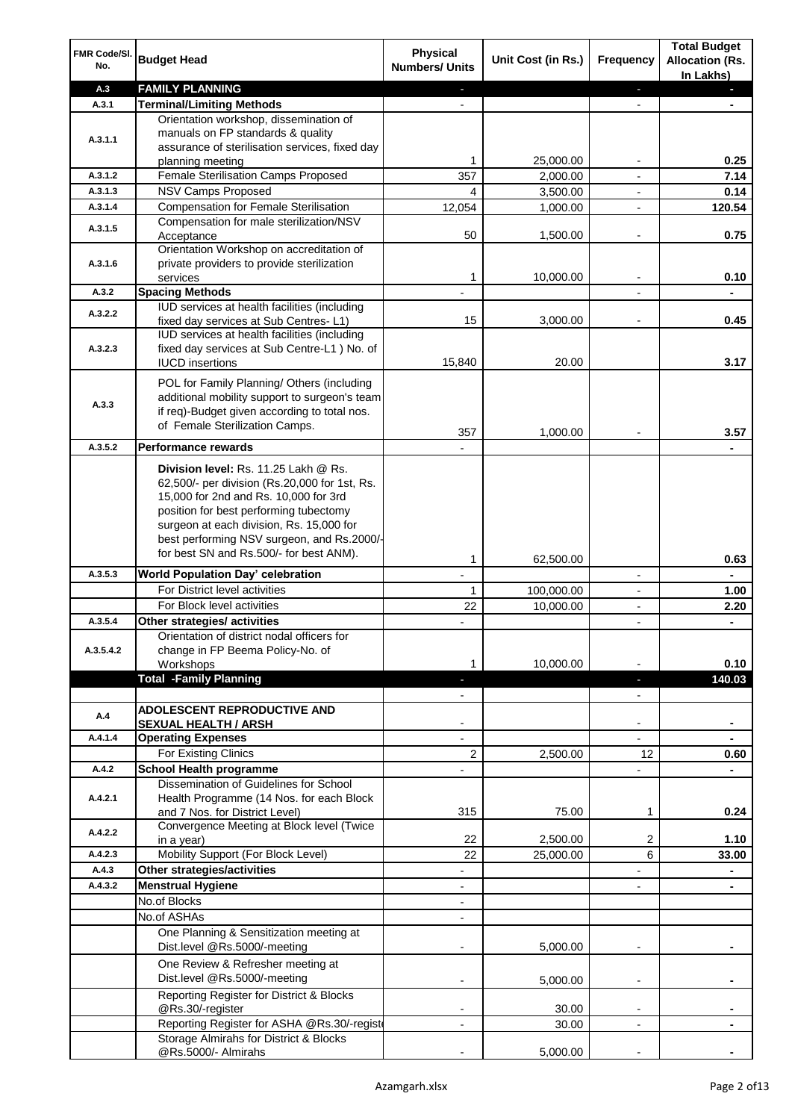| FMR Code/SI.<br>No. | <b>Budget Head</b>                                                                                                                                                                                                                                                                                            | <b>Physical</b><br><b>Numbers/ Units</b> | Unit Cost (in Rs.) | Frequency                | <b>Total Budget</b><br><b>Allocation (Rs.</b><br>In Lakhs) |
|---------------------|---------------------------------------------------------------------------------------------------------------------------------------------------------------------------------------------------------------------------------------------------------------------------------------------------------------|------------------------------------------|--------------------|--------------------------|------------------------------------------------------------|
| A.3                 | <b>FAMILY PLANNING</b>                                                                                                                                                                                                                                                                                        |                                          |                    | J,                       |                                                            |
| A.3.1               | <b>Terminal/Limiting Methods</b>                                                                                                                                                                                                                                                                              |                                          |                    |                          |                                                            |
| A.3.1.1             | Orientation workshop, dissemination of<br>manuals on FP standards & quality<br>assurance of sterilisation services, fixed day                                                                                                                                                                                 | 1                                        | 25,000.00          |                          | 0.25                                                       |
| A.3.1.2             | planning meeting<br>Female Sterilisation Camps Proposed                                                                                                                                                                                                                                                       | 357                                      | 2,000.00           |                          | 7.14                                                       |
| A.3.1.3             | <b>NSV Camps Proposed</b>                                                                                                                                                                                                                                                                                     |                                          |                    |                          |                                                            |
|                     |                                                                                                                                                                                                                                                                                                               | 4                                        | 3,500.00           |                          | 0.14                                                       |
| A.3.1.4             | <b>Compensation for Female Sterilisation</b>                                                                                                                                                                                                                                                                  | 12,054                                   | 1,000.00           | $\overline{\phantom{a}}$ | 120.54                                                     |
| A.3.1.5             | Compensation for male sterilization/NSV<br>Acceptance<br>Orientation Workshop on accreditation of                                                                                                                                                                                                             | 50                                       | 1,500.00           | $\overline{a}$           | 0.75                                                       |
| A.3.1.6             | private providers to provide sterilization<br>services                                                                                                                                                                                                                                                        | 1                                        | 10,000.00          |                          | 0.10                                                       |
| A.3.2               | <b>Spacing Methods</b>                                                                                                                                                                                                                                                                                        |                                          |                    |                          |                                                            |
| A.3.2.2             | IUD services at health facilities (including<br>fixed day services at Sub Centres-L1)                                                                                                                                                                                                                         | 15                                       | 3,000.00           | $\overline{a}$           | 0.45                                                       |
|                     | IUD services at health facilities (including                                                                                                                                                                                                                                                                  |                                          |                    |                          |                                                            |
| A.3.2.3             | fixed day services at Sub Centre-L1 ) No. of                                                                                                                                                                                                                                                                  |                                          |                    |                          |                                                            |
|                     | <b>IUCD</b> insertions                                                                                                                                                                                                                                                                                        | 15,840                                   | 20.00              |                          | 3.17                                                       |
| A.3.3               | POL for Family Planning/ Others (including<br>additional mobility support to surgeon's team<br>if req)-Budget given according to total nos.<br>of Female Sterilization Camps.                                                                                                                                 |                                          |                    |                          |                                                            |
|                     |                                                                                                                                                                                                                                                                                                               | 357                                      | 1,000.00           |                          | 3.57                                                       |
| A.3.5.2             | Performance rewards                                                                                                                                                                                                                                                                                           |                                          |                    |                          |                                                            |
|                     | Division level: Rs. 11.25 Lakh @ Rs.<br>62,500/- per division (Rs.20,000 for 1st, Rs.<br>15,000 for 2nd and Rs. 10,000 for 3rd<br>position for best performing tubectomy<br>surgeon at each division, Rs. 15,000 for<br>best performing NSV surgeon, and Rs.2000/-<br>for best SN and Rs.500/- for best ANM). |                                          |                    |                          |                                                            |
|                     |                                                                                                                                                                                                                                                                                                               | 1                                        | 62,500.00          |                          | 0.63                                                       |
| A.3.5.3             | World Population Day' celebration                                                                                                                                                                                                                                                                             |                                          |                    | $\blacksquare$           |                                                            |
|                     | For District level activities                                                                                                                                                                                                                                                                                 | 1                                        | 100,000.00         |                          | 1.00                                                       |
|                     | For Block level activities                                                                                                                                                                                                                                                                                    | 22                                       | 10,000.00          | $\overline{\phantom{a}}$ | 2.20                                                       |
| A.3.5.4             | Other strategies/ activities                                                                                                                                                                                                                                                                                  |                                          |                    | $\overline{a}$           |                                                            |
|                     | Orientation of district nodal officers for                                                                                                                                                                                                                                                                    |                                          |                    |                          |                                                            |
| A.3.5.4.2           | change in FP Beema Policy-No. of                                                                                                                                                                                                                                                                              |                                          |                    |                          |                                                            |
|                     | Workshops                                                                                                                                                                                                                                                                                                     | 1                                        | 10,000.00          |                          | 0.10                                                       |
|                     | <b>Total -Family Planning</b>                                                                                                                                                                                                                                                                                 | ı                                        |                    | J,                       | 140.03                                                     |
|                     |                                                                                                                                                                                                                                                                                                               |                                          |                    |                          |                                                            |
| A.4                 | <b>ADOLESCENT REPRODUCTIVE AND</b>                                                                                                                                                                                                                                                                            |                                          |                    |                          |                                                            |
|                     | <b>SEXUAL HEALTH / ARSH</b>                                                                                                                                                                                                                                                                                   |                                          |                    |                          | ۰                                                          |
| A.4.1.4             | <b>Operating Expenses</b>                                                                                                                                                                                                                                                                                     |                                          |                    | $\overline{\phantom{a}}$ |                                                            |
|                     | For Existing Clinics                                                                                                                                                                                                                                                                                          | 2                                        | 2,500.00           | 12                       | 0.60                                                       |
| A.4.2               | <b>School Health programme</b>                                                                                                                                                                                                                                                                                |                                          |                    | $\overline{a}$           |                                                            |
|                     | Dissemination of Guidelines for School                                                                                                                                                                                                                                                                        |                                          |                    |                          |                                                            |
| A.4.2.1             | Health Programme (14 Nos. for each Block                                                                                                                                                                                                                                                                      |                                          |                    |                          |                                                            |
|                     | and 7 Nos. for District Level)                                                                                                                                                                                                                                                                                | 315                                      | 75.00              | 1                        | 0.24                                                       |
| A.4.2.2             | Convergence Meeting at Block level (Twice                                                                                                                                                                                                                                                                     |                                          |                    |                          |                                                            |
|                     | in a year)                                                                                                                                                                                                                                                                                                    | 22                                       | 2,500.00           | 2                        | 1.10                                                       |
| A.4.2.3             | Mobility Support (For Block Level)                                                                                                                                                                                                                                                                            | 22                                       | 25,000.00          | 6                        | 33.00                                                      |
| A.4.3               | Other strategies/activities                                                                                                                                                                                                                                                                                   |                                          |                    |                          |                                                            |
| A.4.3.2             | <b>Menstrual Hygiene</b>                                                                                                                                                                                                                                                                                      |                                          |                    |                          |                                                            |
|                     | No.of Blocks                                                                                                                                                                                                                                                                                                  |                                          |                    |                          |                                                            |
|                     | No.of ASHAs                                                                                                                                                                                                                                                                                                   |                                          |                    |                          |                                                            |
|                     | One Planning & Sensitization meeting at<br>Dist.level @Rs.5000/-meeting                                                                                                                                                                                                                                       |                                          | 5,000.00           |                          |                                                            |
|                     | One Review & Refresher meeting at<br>Dist.level @Rs.5000/-meeting                                                                                                                                                                                                                                             |                                          | 5,000.00           | $\overline{\phantom{a}}$ |                                                            |
|                     | Reporting Register for District & Blocks                                                                                                                                                                                                                                                                      |                                          |                    |                          |                                                            |
|                     | @Rs.30/-register                                                                                                                                                                                                                                                                                              |                                          | 30.00              | $\overline{\phantom{a}}$ |                                                            |
|                     | Reporting Register for ASHA @Rs.30/-regist                                                                                                                                                                                                                                                                    | $\overline{\phantom{a}}$                 | 30.00              | $\overline{\phantom{a}}$ | $\blacksquare$                                             |
|                     | Storage Almirahs for District & Blocks<br>@Rs.5000/- Almirahs                                                                                                                                                                                                                                                 |                                          | 5,000.00           |                          |                                                            |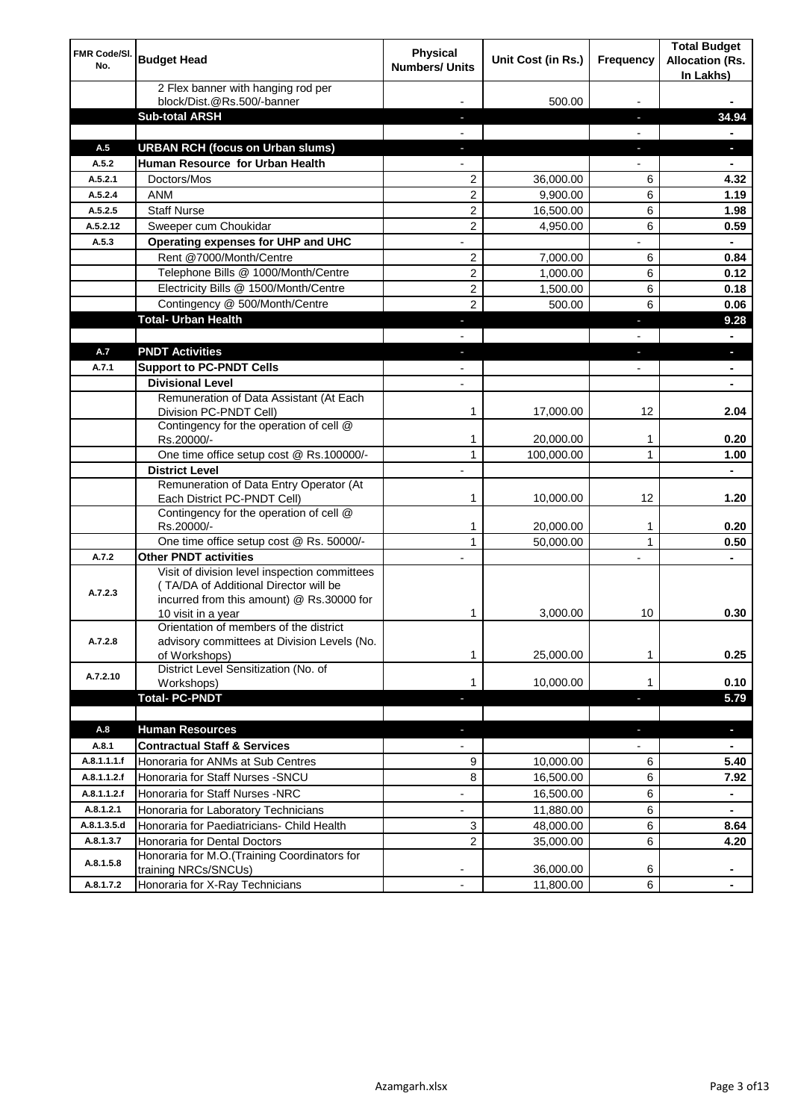| FMR Code/SI.<br>No. | <b>Budget Head</b>                                                                                                                                        | <b>Physical</b><br><b>Numbers/ Units</b> | Unit Cost (in Rs.) | <b>Frequency</b>         | <b>Total Budget</b><br><b>Allocation (Rs.</b><br>In Lakhs) |
|---------------------|-----------------------------------------------------------------------------------------------------------------------------------------------------------|------------------------------------------|--------------------|--------------------------|------------------------------------------------------------|
|                     | 2 Flex banner with hanging rod per<br>block/Dist.@Rs.500/-banner                                                                                          |                                          | 500.00             |                          |                                                            |
|                     | <b>Sub-total ARSH</b>                                                                                                                                     |                                          |                    | $\sim$                   | 34.94                                                      |
|                     |                                                                                                                                                           |                                          |                    |                          |                                                            |
| A.5                 | <b>URBAN RCH (focus on Urban slums)</b>                                                                                                                   |                                          |                    | ÷,                       | H.                                                         |
| A.5.2               | Human Resource for Urban Health                                                                                                                           |                                          |                    |                          |                                                            |
| A.5.2.1             | Doctors/Mos                                                                                                                                               | $\overline{2}$                           | 36,000.00          | 6                        | 4.32                                                       |
| A.5.2.4             | <b>ANM</b>                                                                                                                                                | 2                                        | 9,900.00           | 6                        | 1.19                                                       |
| A.5.2.5             | <b>Staff Nurse</b>                                                                                                                                        | 2                                        | 16,500.00          | 6                        | 1.98                                                       |
| A.5.2.12            | Sweeper cum Choukidar                                                                                                                                     | 2                                        | 4,950.00           | 6                        | 0.59                                                       |
| A.5.3               | Operating expenses for UHP and UHC                                                                                                                        |                                          |                    |                          | $\blacksquare$                                             |
|                     | Rent @7000/Month/Centre                                                                                                                                   | 2                                        | 7,000.00           | 6                        | 0.84                                                       |
|                     | Telephone Bills @ 1000/Month/Centre                                                                                                                       | 2                                        | 1,000.00           | 6                        | 0.12                                                       |
|                     | Electricity Bills @ 1500/Month/Centre                                                                                                                     | 2                                        | 1,500.00           | 6                        | 0.18                                                       |
|                     | Contingency @ 500/Month/Centre                                                                                                                            | $\overline{2}$                           | 500.00             | 6                        | 0.06                                                       |
|                     | <b>Total- Urban Health</b>                                                                                                                                | ٠                                        |                    | ٠                        | 9.28                                                       |
|                     |                                                                                                                                                           |                                          |                    |                          | $\blacksquare$                                             |
| A.7                 | <b>PNDT Activities</b>                                                                                                                                    | $\blacksquare$                           |                    | ٠                        | ٠                                                          |
| A.7.1               | <b>Support to PC-PNDT Cells</b>                                                                                                                           |                                          |                    | $\overline{\phantom{a}}$ | ۰                                                          |
|                     | <b>Divisional Level</b>                                                                                                                                   | $\overline{\phantom{a}}$                 |                    |                          | ۰                                                          |
|                     | Remuneration of Data Assistant (At Each<br>Division PC-PNDT Cell)                                                                                         | 1                                        | 17,000.00          | 12                       | 2.04                                                       |
|                     | Contingency for the operation of cell @<br>Rs.20000/-                                                                                                     | 1                                        | 20,000.00          | 1                        | 0.20                                                       |
|                     | One time office setup cost @ Rs.100000/-                                                                                                                  | 1                                        | 100,000.00         | 1                        | 1.00                                                       |
|                     | <b>District Level</b>                                                                                                                                     | $\overline{a}$                           |                    |                          | $\blacksquare$                                             |
|                     | Remuneration of Data Entry Operator (At<br>Each District PC-PNDT Cell)                                                                                    | 1                                        | 10,000.00          | 12                       | 1.20                                                       |
|                     | Contingency for the operation of cell @<br>Rs.20000/-                                                                                                     | 1                                        | 20,000.00          | 1                        | 0.20                                                       |
|                     | One time office setup cost @ Rs. 50000/-                                                                                                                  | $\mathbf{1}$                             | 50,000.00          | $\mathbf{1}$             | 0.50                                                       |
| A.7.2               | <b>Other PNDT activities</b>                                                                                                                              |                                          |                    |                          |                                                            |
| A.7.2.3             | Visit of division level inspection committees<br>(TA/DA of Additional Director will be<br>incurred from this amount) @ Rs.30000 for<br>10 visit in a year | 1                                        | 3,000.00           | 10                       | 0.30                                                       |
| A.7.2.8             | Orientation of members of the district<br>advisory committees at Division Levels (No.<br>of Workshops)                                                    | 1                                        | 25,000.00          | 1                        | 0.25                                                       |
| A.7.2.10            | District Level Sensitization (No. of<br>Workshops)                                                                                                        | 1                                        | 10,000.00          | 1                        | 0.10                                                       |
|                     | <b>Total- PC-PNDT</b>                                                                                                                                     |                                          |                    |                          | 5.79                                                       |
|                     |                                                                                                                                                           |                                          |                    |                          |                                                            |
| A.8                 | <b>Human Resources</b>                                                                                                                                    | ÷.                                       |                    | $\overline{\phantom{a}}$ | ÷,                                                         |
| A.8.1               | <b>Contractual Staff &amp; Services</b>                                                                                                                   |                                          |                    |                          |                                                            |
| A.8.1.1.1.f         | Honoraria for ANMs at Sub Centres                                                                                                                         | 9                                        | 10,000.00          | 6                        | 5.40                                                       |
| A.8.1.1.2.f         | Honoraria for Staff Nurses - SNCU                                                                                                                         | 8                                        | 16,500.00          | 6                        | 7.92                                                       |
| A.8.1.1.2.f         | Honoraria for Staff Nurses -NRC                                                                                                                           | $\overline{\phantom{a}}$                 | 16,500.00          | 6                        |                                                            |
| A.8.1.2.1           | Honoraria for Laboratory Technicians                                                                                                                      |                                          | 11,880.00          | 6                        |                                                            |
| A.8.1.3.5.d         | Honoraria for Paediatricians- Child Health                                                                                                                | 3                                        | 48,000.00          | 6                        | 8.64                                                       |
| A.8.1.3.7           | Honoraria for Dental Doctors                                                                                                                              | 2                                        | 35,000.00          | 6                        | 4.20                                                       |
| A.8.1.5.8           | Honoraria for M.O.(Training Coordinators for<br>training NRCs/SNCUs)                                                                                      |                                          | 36,000.00          | 6                        |                                                            |
| A.8.1.7.2           | Honoraria for X-Ray Technicians                                                                                                                           |                                          | 11,800.00          | 6                        |                                                            |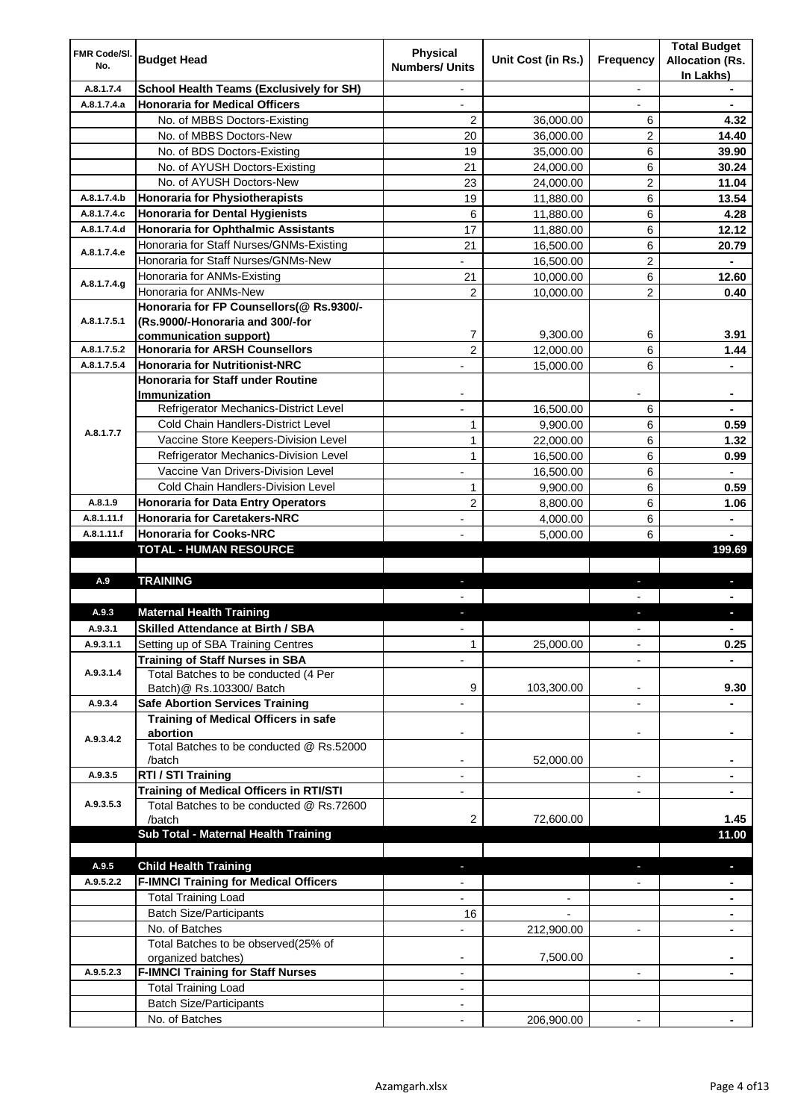| FMR Code/SI.<br>No. | <b>Budget Head</b>                                                               | <b>Physical</b>          | Unit Cost (in Rs.) | Frequency                | <b>Total Budget</b><br><b>Allocation (Rs.</b> |
|---------------------|----------------------------------------------------------------------------------|--------------------------|--------------------|--------------------------|-----------------------------------------------|
|                     |                                                                                  | <b>Numbers/ Units</b>    |                    |                          | In Lakhs)                                     |
| A.8.1.7.4           | <b>School Health Teams (Exclusively for SH)</b>                                  | $\overline{\phantom{a}}$ |                    | $\overline{\phantom{a}}$ |                                               |
| A.8.1.7.4.a         | <b>Honoraria for Medical Officers</b>                                            | $\overline{\phantom{a}}$ |                    |                          |                                               |
|                     | No. of MBBS Doctors-Existing                                                     | $\overline{2}$           | 36,000.00          | 6                        | 4.32                                          |
|                     | No. of MBBS Doctors-New                                                          | 20                       | 36,000.00          | 2                        | 14.40                                         |
|                     | No. of BDS Doctors-Existing                                                      | 19                       | 35,000.00          | 6                        | 39.90                                         |
|                     | No. of AYUSH Doctors-Existing                                                    | 21                       | 24,000.00          | 6                        | 30.24                                         |
|                     | No. of AYUSH Doctors-New                                                         | 23                       | 24,000.00          | $\overline{c}$           | 11.04                                         |
| A.8.1.7.4.b         | <b>Honoraria for Physiotherapists</b>                                            | 19                       | 11,880.00          | 6                        | 13.54                                         |
| A.8.1.7.4.c         | <b>Honoraria for Dental Hygienists</b>                                           | 6                        | 11,880.00          | 6                        | 4.28                                          |
| A.8.1.7.4.d         | <b>Honoraria for Ophthalmic Assistants</b>                                       | 17                       | 11,880.00          | 6                        | 12.12                                         |
| A.8.1.7.4.e         | Honoraria for Staff Nurses/GNMs-Existing                                         | 21                       | 16,500.00          | 6                        | 20.79                                         |
|                     | Honoraria for Staff Nurses/GNMs-New                                              |                          | 16,500.00          | $\overline{2}$           |                                               |
| A.8.1.7.4.g         | Honoraria for ANMs-Existing                                                      | 21                       | 10,000.00          | 6                        | 12.60                                         |
|                     | Honoraria for ANMs-New                                                           | $\overline{c}$           | 10,000.00          | 2                        | 0.40                                          |
|                     | Honoraria for FP Counsellors(@ Rs.9300/-                                         |                          |                    |                          |                                               |
| A.8.1.7.5.1         | (Rs.9000/-Honoraria and 300/-for                                                 |                          |                    |                          |                                               |
|                     | communication support)                                                           | 7                        | 9,300.00           | 6                        | 3.91                                          |
| A.8.1.7.5.2         | <b>Honoraria for ARSH Counsellors</b>                                            | $\overline{2}$           | 12,000.00          | 6                        | 1.44                                          |
| A.8.1.7.5.4         | <b>Honoraria for Nutritionist-NRC</b>                                            |                          | 15,000.00          | 6                        |                                               |
|                     | <b>Honoraria for Staff under Routine</b>                                         |                          |                    |                          |                                               |
|                     | <b>Immunization</b><br>Refrigerator Mechanics-District Level                     | $\blacksquare$           | 16,500.00          | 6                        | ٠<br>٠                                        |
|                     | Cold Chain Handlers-District Level                                               | 1                        | 9,900.00           | 6                        | 0.59                                          |
| A.8.1.7.7           | Vaccine Store Keepers-Division Level                                             | 1                        | 22,000.00          | 6                        | 1.32                                          |
|                     | Refrigerator Mechanics-Division Level                                            | 1                        |                    | 6                        | 0.99                                          |
|                     | Vaccine Van Drivers-Division Level                                               | ÷,                       | 16,500.00          | 6                        |                                               |
|                     | <b>Cold Chain Handlers-Division Level</b>                                        | 1                        | 16,500.00          | 6                        | 0.59                                          |
| A.8.1.9             |                                                                                  |                          | 9,900.00           |                          |                                               |
| A.8.1.11.f          | <b>Honoraria for Data Entry Operators</b><br><b>Honoraria for Caretakers-NRC</b> | $\overline{c}$           | 8,800.00           | 6                        | 1.06                                          |
| A.8.1.11.f          | <b>Honoraria for Cooks-NRC</b>                                                   |                          | 4,000.00           | 6<br>6                   | ٠                                             |
|                     | TOTAL - HUMAN RESOURCE                                                           |                          | 5,000.00           |                          | 199.69                                        |
|                     |                                                                                  |                          |                    |                          |                                               |
| A.9                 | <b>TRAINING</b>                                                                  |                          |                    |                          |                                               |
|                     |                                                                                  |                          |                    |                          |                                               |
| A.9.3               | <b>Maternal Health Training</b>                                                  |                          |                    |                          |                                               |
| A.9.3.1             | <b>Skilled Attendance at Birth / SBA</b>                                         |                          |                    | $\blacksquare$           |                                               |
| A.9.3.1.1           | Setting up of SBA Training Centres                                               | 1                        | 25,000.00          | $\blacksquare$           | 0.25                                          |
|                     | <b>Training of Staff Nurses in SBA</b>                                           |                          |                    |                          |                                               |
| A.9.3.1.4           | Total Batches to be conducted (4 Per                                             |                          |                    |                          |                                               |
|                     | Batch)@ Rs.103300/ Batch                                                         | 9                        | 103,300.00         | $\blacksquare$           | 9.30                                          |
| A.9.3.4             | <b>Safe Abortion Services Training</b>                                           |                          |                    | $\overline{\phantom{a}}$ |                                               |
|                     | Training of Medical Officers in safe                                             |                          |                    |                          |                                               |
|                     | abortion                                                                         |                          |                    | $\overline{a}$           |                                               |
| A.9.3.4.2           | Total Batches to be conducted @ Rs.52000                                         |                          |                    |                          |                                               |
|                     | /batch                                                                           | $\blacksquare$           | 52,000.00          |                          | ۰                                             |
| A.9.3.5             | RTI / STI Training                                                               | $\overline{\phantom{a}}$ |                    | $\overline{\phantom{a}}$ | ۰                                             |
|                     | Training of Medical Officers in RTI/STI                                          | $\overline{\phantom{a}}$ |                    | $\overline{\phantom{a}}$ | ٠                                             |
| A.9.3.5.3           | Total Batches to be conducted @ Rs.72600                                         |                          |                    |                          |                                               |
|                     | /batch                                                                           | 2                        | 72,600.00          |                          | 1.45                                          |
|                     | Sub Total - Maternal Health Training                                             |                          |                    |                          | 11.00                                         |
|                     |                                                                                  |                          |                    |                          |                                               |
| A.9.5               | <b>Child Health Training</b>                                                     |                          |                    |                          | L.                                            |
| A.9.5.2.2           | <b>F-IMNCI Training for Medical Officers</b>                                     |                          |                    |                          |                                               |
|                     | <b>Total Training Load</b>                                                       |                          |                    |                          |                                               |
|                     | <b>Batch Size/Participants</b>                                                   | 16                       |                    |                          |                                               |
|                     | No. of Batches                                                                   |                          | 212,900.00         | $\overline{\phantom{0}}$ |                                               |
|                     | Total Batches to be observed(25% of                                              |                          |                    |                          |                                               |
|                     | organized batches)                                                               |                          | 7,500.00           |                          |                                               |
| A.9.5.2.3           | <b>F-IMNCI Training for Staff Nurses</b>                                         |                          |                    |                          |                                               |
|                     | <b>Total Training Load</b>                                                       |                          |                    |                          |                                               |
|                     | <b>Batch Size/Participants</b>                                                   |                          |                    |                          |                                               |
|                     | No. of Batches                                                                   | $\overline{a}$           | 206,900.00         | $\overline{\phantom{a}}$ |                                               |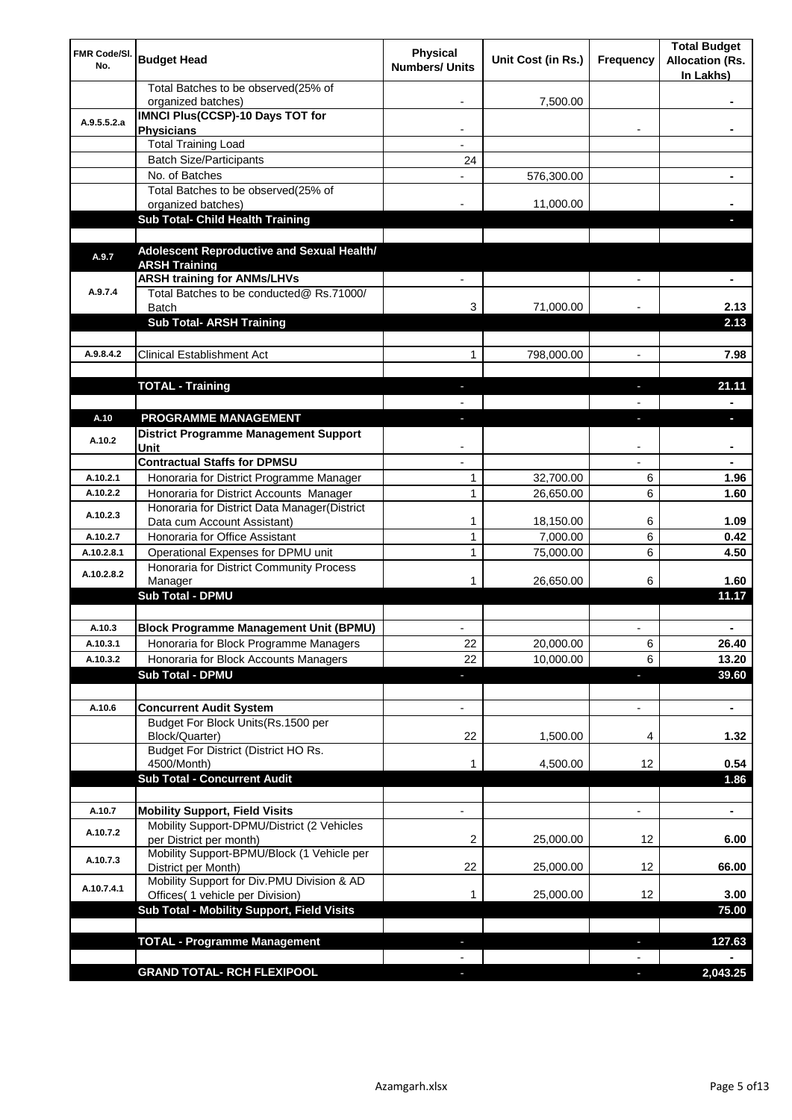| FMR Code/SI.<br>No. | <b>Budget Head</b>                                                             | <b>Physical</b><br><b>Numbers/ Units</b> | Unit Cost (in Rs.) | Frequency                | <b>Total Budget</b><br><b>Allocation (Rs.</b><br>In Lakhs) |
|---------------------|--------------------------------------------------------------------------------|------------------------------------------|--------------------|--------------------------|------------------------------------------------------------|
|                     | Total Batches to be observed(25% of<br>organized batches)                      |                                          | 7,500.00           |                          |                                                            |
| A.9.5.5.2.a         | IMNCI Plus(CCSP)-10 Days TOT for<br><b>Physicians</b>                          | $\overline{\phantom{a}}$                 |                    | $\overline{\phantom{a}}$ | ۰                                                          |
|                     | <b>Total Training Load</b>                                                     |                                          |                    |                          |                                                            |
|                     | <b>Batch Size/Participants</b>                                                 | 24                                       |                    |                          |                                                            |
|                     | No. of Batches                                                                 |                                          | 576,300.00         |                          |                                                            |
|                     | Total Batches to be observed(25% of                                            |                                          |                    |                          |                                                            |
|                     | organized batches)                                                             |                                          | 11,000.00          |                          |                                                            |
|                     | <b>Sub Total- Child Health Training</b>                                        |                                          |                    |                          |                                                            |
| A.9.7               | Adolescent Reproductive and Sexual Health/                                     |                                          |                    |                          |                                                            |
|                     | <b>ARSH Training</b>                                                           |                                          |                    |                          |                                                            |
|                     | <b>ARSH training for ANMs/LHVs</b>                                             |                                          |                    |                          | ä,                                                         |
| A.9.7.4             | Total Batches to be conducted@ Rs.71000/<br><b>Batch</b>                       | 3                                        | 71,000.00          |                          | 2.13                                                       |
|                     | <b>Sub Total- ARSH Training</b>                                                |                                          |                    |                          | 2.13                                                       |
| A.9.8.4.2           | <b>Clinical Establishment Act</b>                                              |                                          |                    |                          |                                                            |
|                     |                                                                                | 1                                        | 798,000.00         |                          | 7.98                                                       |
|                     |                                                                                |                                          |                    |                          | 21.11                                                      |
|                     | <b>TOTAL - Training</b>                                                        |                                          |                    |                          |                                                            |
| A.10                | <b>PROGRAMME MANAGEMENT</b>                                                    |                                          |                    |                          | ٠                                                          |
|                     | <b>District Programme Management Support</b>                                   |                                          |                    |                          |                                                            |
| A.10.2              | Unit                                                                           |                                          |                    |                          |                                                            |
|                     | <b>Contractual Staffs for DPMSU</b>                                            |                                          |                    |                          |                                                            |
| A.10.2.1            | Honoraria for District Programme Manager                                       | 1                                        | 32,700.00          | 6                        | 1.96                                                       |
| A.10.2.2            | Honoraria for District Accounts Manager                                        | 1                                        | 26,650.00          | 6                        | 1.60                                                       |
|                     | Honoraria for District Data Manager(District                                   |                                          |                    |                          |                                                            |
| A.10.2.3            | Data cum Account Assistant)                                                    | 1                                        | 18,150.00          | 6                        | 1.09                                                       |
| A.10.2.7            | Honoraria for Office Assistant                                                 | 1                                        | 7,000.00           | 6                        | 0.42                                                       |
| A.10.2.8.1          | Operational Expenses for DPMU unit                                             | 1                                        | 75,000.00          | 6                        | 4.50                                                       |
| A.10.2.8.2          | Honoraria for District Community Process                                       |                                          |                    |                          |                                                            |
|                     | Manager<br><b>Sub Total - DPMU</b>                                             | 1                                        | 26,650.00          | 6                        | 1.60<br>11.17                                              |
|                     |                                                                                |                                          |                    |                          |                                                            |
| A.10.3              | <b>Block Programme Management Unit (BPMU)</b>                                  |                                          |                    |                          | ۰                                                          |
| A.10.3.1            | Honoraria for Block Programme Managers                                         | 22                                       | 20,000.00          | 6                        | 26.40                                                      |
| A.10.3.2            | Honoraria for Block Accounts Managers                                          | 22                                       | 10,000.00          | 6                        | 13.20                                                      |
|                     | Sub Total - DPMU                                                               | $\overline{\phantom{a}}$                 |                    | $\overline{\phantom{a}}$ | 39.60                                                      |
|                     |                                                                                |                                          |                    |                          |                                                            |
| A.10.6              | <b>Concurrent Audit System</b>                                                 |                                          |                    | ÷,                       | ۰                                                          |
|                     | Budget For Block Units(Rs.1500 per                                             |                                          |                    |                          |                                                            |
|                     | Block/Quarter)                                                                 | 22                                       | 1,500.00           | 4                        | 1.32                                                       |
|                     | Budget For District (District HO Rs.                                           |                                          |                    |                          |                                                            |
|                     | 4500/Month)<br><b>Sub Total - Concurrent Audit</b>                             | 1                                        | 4,500.00           | 12                       | 0.54<br>1.86                                               |
|                     |                                                                                |                                          |                    |                          |                                                            |
| A.10.7              | <b>Mobility Support, Field Visits</b>                                          |                                          |                    | $\overline{\phantom{a}}$ | ۰                                                          |
|                     | Mobility Support-DPMU/District (2 Vehicles                                     |                                          |                    |                          |                                                            |
| A.10.7.2            | per District per month)                                                        | 2                                        | 25,000.00          | 12                       | 6.00                                                       |
| A.10.7.3            | Mobility Support-BPMU/Block (1 Vehicle per<br>District per Month)              | 22                                       | 25,000.00          | 12                       | 66.00                                                      |
| A.10.7.4.1          | Mobility Support for Div.PMU Division & AD                                     |                                          |                    |                          |                                                            |
|                     | Offices( 1 vehicle per Division)<br>Sub Total - Mobility Support, Field Visits | 1                                        | 25,000.00          | 12                       | 3.00<br>75.00                                              |
|                     |                                                                                |                                          |                    |                          |                                                            |
|                     | <b>TOTAL - Programme Management</b>                                            |                                          |                    |                          | 127.63                                                     |
|                     |                                                                                | ٠                                        |                    | ٠                        |                                                            |
|                     | <b>GRAND TOTAL- RCH FLEXIPOOL</b>                                              | $\overline{\phantom{a}}$                 |                    | E.                       | 2,043.25                                                   |
|                     |                                                                                |                                          |                    |                          |                                                            |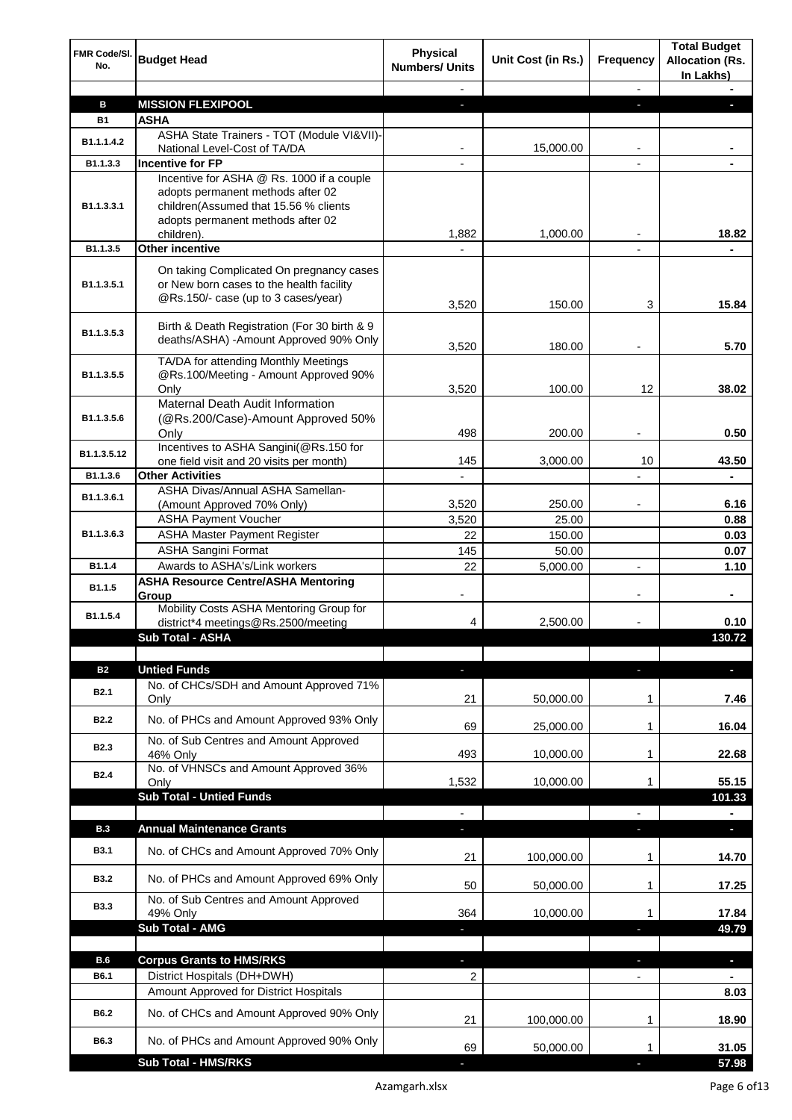| FMR Code/SI.<br>No. | <b>Budget Head</b>                                                                                                                                                         | <b>Physical</b><br><b>Numbers/ Units</b> | Unit Cost (in Rs.) | Frequency                | <b>Total Budget</b><br><b>Allocation (Rs.</b><br>In Lakhs) |
|---------------------|----------------------------------------------------------------------------------------------------------------------------------------------------------------------------|------------------------------------------|--------------------|--------------------------|------------------------------------------------------------|
|                     |                                                                                                                                                                            |                                          |                    |                          |                                                            |
| в                   | <b>MISSION FLEXIPOOL</b>                                                                                                                                                   | a.                                       |                    | r.                       |                                                            |
| <b>B1</b>           | <b>ASHA</b>                                                                                                                                                                |                                          |                    |                          |                                                            |
| B1.1.1.4.2          | ASHA State Trainers - TOT (Module VI&VII)-<br>National Level-Cost of TA/DA                                                                                                 |                                          | 15,000.00          |                          |                                                            |
| B1.1.3.3            | <b>Incentive for FP</b>                                                                                                                                                    |                                          |                    |                          |                                                            |
| B1.1.3.3.1          | Incentive for ASHA @ Rs. 1000 if a couple<br>adopts permanent methods after 02<br>children(Assumed that 15.56 % clients<br>adopts permanent methods after 02<br>children). | 1,882                                    | 1,000.00           |                          | 18.82                                                      |
| B1.1.3.5            | <b>Other incentive</b>                                                                                                                                                     |                                          |                    |                          |                                                            |
| B1.1.3.5.1          | On taking Complicated On pregnancy cases<br>or New born cases to the health facility<br>@Rs.150/- case (up to 3 cases/year)                                                | 3,520                                    | 150.00             | 3                        | 15.84                                                      |
| B1.1.3.5.3          | Birth & Death Registration (For 30 birth & 9<br>deaths/ASHA) -Amount Approved 90% Only                                                                                     | 3,520                                    | 180.00             |                          | 5.70                                                       |
| B1.1.3.5.5          | TA/DA for attending Monthly Meetings<br>@Rs.100/Meeting - Amount Approved 90%                                                                                              |                                          |                    |                          |                                                            |
|                     | Only<br><b>Maternal Death Audit Information</b>                                                                                                                            | 3,520                                    | 100.00             | 12                       | 38.02                                                      |
| B1.1.3.5.6          | (@Rs.200/Case)-Amount Approved 50%<br>Only                                                                                                                                 | 498                                      | 200.00             | ٠                        | 0.50                                                       |
| B1.1.3.5.12         | Incentives to ASHA Sangini(@Rs.150 for                                                                                                                                     |                                          |                    |                          |                                                            |
|                     | one field visit and 20 visits per month)                                                                                                                                   | 145                                      | 3,000.00           | 10                       | 43.50                                                      |
| B1.1.3.6            | <b>Other Activities</b><br>ASHA Divas/Annual ASHA Samellan-                                                                                                                |                                          |                    |                          |                                                            |
| B1.1.3.6.1          | (Amount Approved 70% Only)                                                                                                                                                 | 3,520                                    | 250.00             |                          | 6.16                                                       |
|                     | <b>ASHA Payment Voucher</b>                                                                                                                                                | 3,520                                    | 25.00              |                          | 0.88                                                       |
| B1.1.3.6.3          | <b>ASHA Master Payment Register</b>                                                                                                                                        | 22                                       | 150.00             |                          | 0.03                                                       |
|                     | <b>ASHA Sangini Format</b>                                                                                                                                                 | 145                                      | 50.00              |                          | 0.07                                                       |
| B1.1.4              | Awards to ASHA's/Link workers<br><b>ASHA Resource Centre/ASHA Mentoring</b>                                                                                                | 22                                       | 5,000.00           |                          | 1.10                                                       |
| B1.1.5              | Group                                                                                                                                                                      |                                          |                    |                          | $\blacksquare$                                             |
| B1.1.5.4            | Mobility Costs ASHA Mentoring Group for<br>district*4 meetings@Rs.2500/meeting                                                                                             | 4                                        | 2,500.00           |                          | 0.10                                                       |
|                     | <b>Sub Total - ASHA</b>                                                                                                                                                    |                                          |                    |                          | 130.72                                                     |
| <b>B2</b>           | <b>Untied Funds</b>                                                                                                                                                        |                                          |                    |                          | n,                                                         |
| <b>B2.1</b>         | No. of CHCs/SDH and Amount Approved 71%<br>Only                                                                                                                            | 21                                       | 50,000.00          | $\mathbf 1$              | 7.46                                                       |
| <b>B2.2</b>         | No. of PHCs and Amount Approved 93% Only                                                                                                                                   | 69                                       | 25,000.00          | 1                        | 16.04                                                      |
| <b>B2.3</b>         | No. of Sub Centres and Amount Approved<br>46% Only                                                                                                                         | 493                                      | 10,000.00          | 1                        | 22.68                                                      |
| <b>B2.4</b>         | No. of VHNSCs and Amount Approved 36%<br>Only                                                                                                                              | 1,532                                    | 10,000.00          | 1                        | 55.15                                                      |
|                     | <b>Sub Total - Untied Funds</b>                                                                                                                                            |                                          |                    |                          | 101.33                                                     |
|                     |                                                                                                                                                                            |                                          |                    |                          |                                                            |
| B.3                 | <b>Annual Maintenance Grants</b>                                                                                                                                           | E.                                       |                    |                          | n,                                                         |
| <b>B3.1</b>         | No. of CHCs and Amount Approved 70% Only                                                                                                                                   | 21                                       | 100,000.00         | 1                        | 14.70                                                      |
| <b>B3.2</b>         | No. of PHCs and Amount Approved 69% Only                                                                                                                                   | 50                                       | 50,000.00          | 1                        | 17.25                                                      |
| <b>B3.3</b>         | No. of Sub Centres and Amount Approved<br>49% Only<br><b>Sub Total - AMG</b>                                                                                               | 364                                      | 10,000.00          | 1                        | 17.84<br>49.79                                             |
|                     |                                                                                                                                                                            |                                          |                    |                          |                                                            |
| B.6                 | <b>Corpus Grants to HMS/RKS</b>                                                                                                                                            | ÷.                                       |                    | ٠                        | $\overline{\phantom{a}}$                                   |
| B6.1                | District Hospitals (DH+DWH)                                                                                                                                                | $\overline{2}$                           |                    | $\overline{\phantom{a}}$ | $\blacksquare$                                             |
|                     | Amount Approved for District Hospitals                                                                                                                                     |                                          |                    |                          | 8.03                                                       |
| B6.2                | No. of CHCs and Amount Approved 90% Only                                                                                                                                   | 21                                       | 100,000.00         | 1                        | 18.90                                                      |
| B6.3                | No. of PHCs and Amount Approved 90% Only                                                                                                                                   | 69                                       | 50,000.00          | 1                        | 31.05                                                      |
|                     | <b>Sub Total - HMS/RKS</b>                                                                                                                                                 |                                          |                    |                          | 57.98                                                      |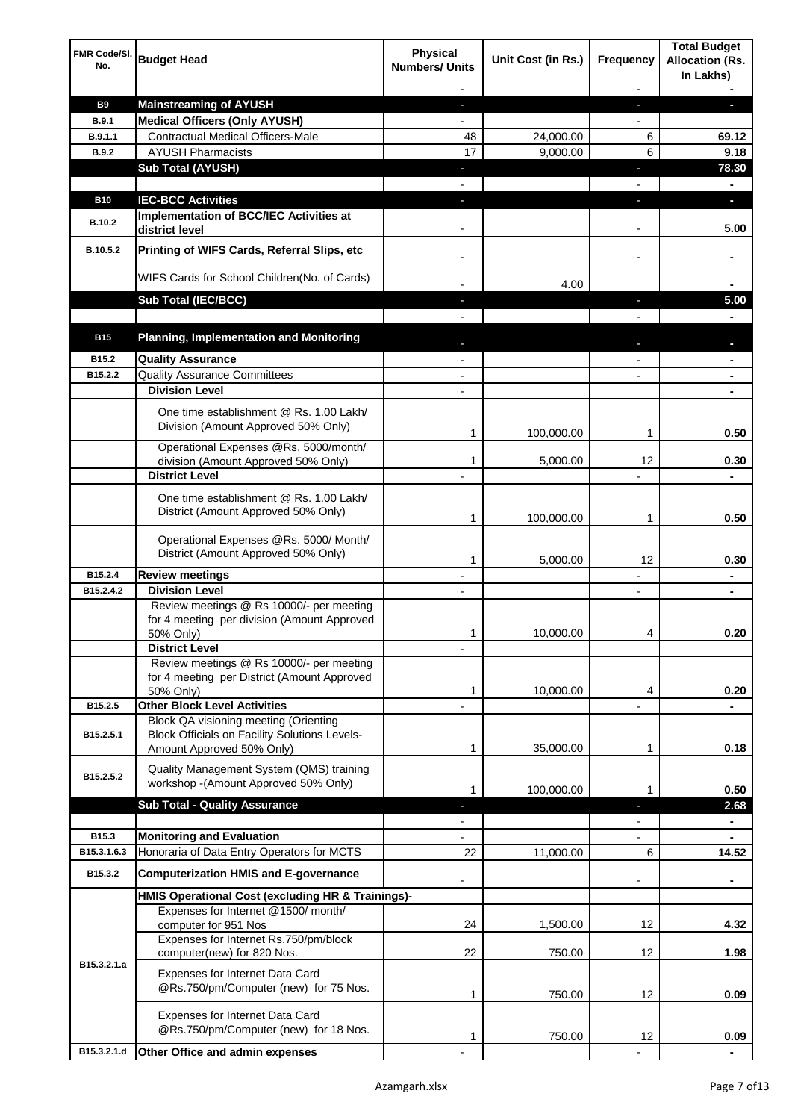| <b>FMR Code/SI.</b><br>No. | <b>Budget Head</b>                                                                                                         | <b>Physical</b><br><b>Numbers/ Units</b> | Unit Cost (in Rs.) | Frequency                | <b>Total Budget</b><br><b>Allocation (Rs.</b><br>In Lakhs) |
|----------------------------|----------------------------------------------------------------------------------------------------------------------------|------------------------------------------|--------------------|--------------------------|------------------------------------------------------------|
|                            |                                                                                                                            |                                          |                    |                          |                                                            |
| <b>B9</b>                  | <b>Mainstreaming of AYUSH</b>                                                                                              | $\blacksquare$                           |                    | J,                       | ٠                                                          |
| <b>B.9.1</b>               | <b>Medical Officers (Only AYUSH)</b>                                                                                       |                                          |                    |                          |                                                            |
| B.9.1.1                    | <b>Contractual Medical Officers-Male</b>                                                                                   | 48                                       | 24,000.00          | 6                        | 69.12                                                      |
| B.9.2                      | <b>AYUSH Pharmacists</b>                                                                                                   | 17                                       | 9,000.00           | 6                        | 9.18                                                       |
|                            | <b>Sub Total (AYUSH)</b>                                                                                                   | ٠                                        |                    | n,                       | 78.30                                                      |
|                            |                                                                                                                            |                                          |                    |                          |                                                            |
| <b>B10</b><br>B.10.2       | <b>IEC-BCC Activities</b><br><b>Implementation of BCC/IEC Activities at</b><br>district level                              | $\blacksquare$                           |                    | r                        | ٠<br>5.00                                                  |
| B.10.5.2                   | Printing of WIFS Cards, Referral Slips, etc                                                                                |                                          |                    | $\overline{\phantom{a}}$ | ٠                                                          |
|                            | WIFS Cards for School Children(No. of Cards)                                                                               |                                          | 4.00               |                          |                                                            |
|                            | Sub Total (IEC/BCC)                                                                                                        |                                          |                    |                          | 5.00                                                       |
|                            |                                                                                                                            |                                          |                    |                          |                                                            |
| <b>B15</b>                 | <b>Planning, Implementation and Monitoring</b>                                                                             |                                          |                    |                          |                                                            |
| B15.2                      | <b>Quality Assurance</b>                                                                                                   |                                          |                    |                          |                                                            |
| B15.2.2                    | <b>Quality Assurance Committees</b>                                                                                        |                                          |                    |                          |                                                            |
|                            | <b>Division Level</b>                                                                                                      |                                          |                    |                          |                                                            |
|                            | One time establishment @ Rs. 1.00 Lakh/<br>Division (Amount Approved 50% Only)                                             | 1                                        | 100,000.00         | 1                        | 0.50                                                       |
|                            | Operational Expenses @Rs. 5000/month/                                                                                      |                                          |                    |                          |                                                            |
|                            | division (Amount Approved 50% Only)                                                                                        | 1                                        | 5,000.00           | 12                       | 0.30                                                       |
|                            | <b>District Level</b>                                                                                                      |                                          |                    |                          |                                                            |
|                            | One time establishment @ Rs. 1.00 Lakh/<br>District (Amount Approved 50% Only)                                             | 1                                        | 100,000.00         | 1                        | 0.50                                                       |
|                            | Operational Expenses @Rs. 5000/ Month/<br>District (Amount Approved 50% Only)                                              | 1                                        | 5,000.00           | 12                       | 0.30                                                       |
| B15.2.4                    | <b>Review meetings</b>                                                                                                     |                                          |                    |                          | ۰                                                          |
| B15.2.4.2                  | <b>Division Level</b>                                                                                                      |                                          |                    |                          |                                                            |
|                            | Review meetings @ Rs 10000/- per meeting<br>for 4 meeting per division (Amount Approved<br>50% Only)                       | 1                                        | 10,000.00          | 4                        | 0.20                                                       |
|                            | <b>District Level</b>                                                                                                      |                                          |                    |                          |                                                            |
|                            | Review meetings @ Rs 10000/- per meeting<br>for 4 meeting per District (Amount Approved<br>50% Only)                       | 1                                        | 10,000.00          | 4                        | 0.20                                                       |
| B15.2.5                    | <b>Other Block Level Activities</b>                                                                                        |                                          |                    |                          |                                                            |
| B15.2.5.1                  | Block QA visioning meeting (Orienting<br><b>Block Officials on Facility Solutions Levels-</b><br>Amount Approved 50% Only) | 1                                        | 35,000.00          | 1                        | 0.18                                                       |
|                            | Quality Management System (QMS) training                                                                                   |                                          |                    |                          |                                                            |
| B15.2.5.2                  | workshop - (Amount Approved 50% Only)                                                                                      | 1                                        | 100,000.00         | 1                        | 0.50                                                       |
|                            | <b>Sub Total - Quality Assurance</b>                                                                                       |                                          |                    | r                        | 2.68                                                       |
|                            |                                                                                                                            |                                          |                    |                          |                                                            |
| B15.3                      | <b>Monitoring and Evaluation</b>                                                                                           |                                          |                    |                          |                                                            |
| B15.3.1.6.3                | Honoraria of Data Entry Operators for MCTS                                                                                 | 22                                       | 11,000.00          | 6                        | 14.52                                                      |
| B15.3.2                    | <b>Computerization HMIS and E-governance</b>                                                                               |                                          |                    |                          | ۰                                                          |
|                            | HMIS Operational Cost (excluding HR & Trainings)-                                                                          |                                          |                    |                          |                                                            |
|                            | Expenses for Internet @1500/month/<br>computer for 951 Nos                                                                 | 24                                       | 1,500.00           | 12                       | 4.32                                                       |
|                            | Expenses for Internet Rs.750/pm/block<br>computer(new) for 820 Nos.                                                        | 22                                       | 750.00             | 12                       | 1.98                                                       |
| B15.3.2.1.a                | Expenses for Internet Data Card<br>@Rs.750/pm/Computer (new) for 75 Nos.                                                   | 1                                        | 750.00             | 12                       | 0.09                                                       |
|                            | Expenses for Internet Data Card<br>@Rs.750/pm/Computer (new) for 18 Nos.                                                   | 1                                        | 750.00             | 12                       | 0.09                                                       |
| B15.3.2.1.d                | Other Office and admin expenses                                                                                            |                                          |                    |                          |                                                            |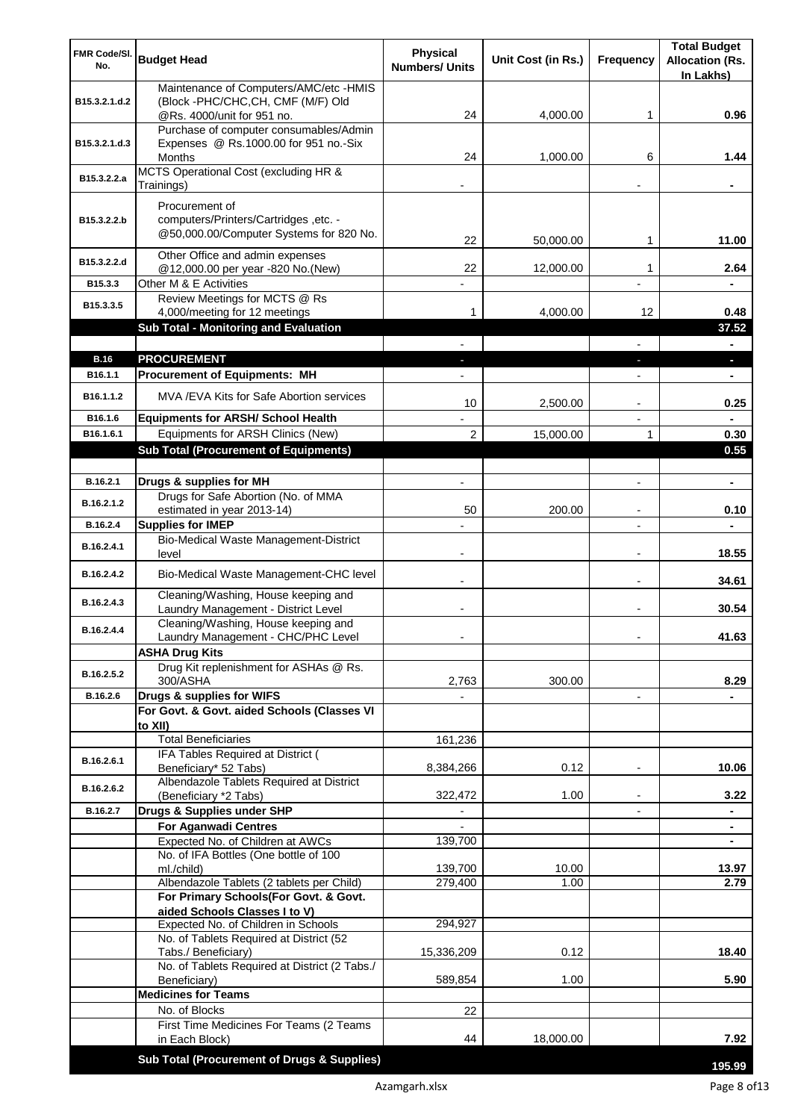| FMR Code/SI.<br>No. | <b>Budget Head</b>                                                               | Physical<br><b>Numbers/ Units</b> | Unit Cost (in Rs.) | Frequency                | <b>Total Budget</b><br><b>Allocation (Rs.</b><br>In Lakhs) |
|---------------------|----------------------------------------------------------------------------------|-----------------------------------|--------------------|--------------------------|------------------------------------------------------------|
| B15.3.2.1.d.2       | Maintenance of Computers/AMC/etc -HMIS<br>(Block -PHC/CHC, CH, CMF (M/F) Old     |                                   |                    |                          |                                                            |
|                     | @Rs. 4000/unit for 951 no.<br>Purchase of computer consumables/Admin             | 24                                | 4,000.00           | 1                        | 0.96                                                       |
| B15.3.2.1.d.3       | Expenses @ Rs.1000.00 for 951 no.-Six                                            |                                   |                    |                          |                                                            |
|                     | Months                                                                           | 24                                | 1,000.00           | 6                        | 1.44                                                       |
| B15.3.2.2.a         | MCTS Operational Cost (excluding HR &<br>Trainings)                              |                                   |                    |                          |                                                            |
|                     | Procurement of                                                                   |                                   |                    |                          |                                                            |
| B15.3.2.2.b         | computers/Printers/Cartridges, etc. -<br>@50,000.00/Computer Systems for 820 No. | 22                                | 50,000.00          | 1                        | 11.00                                                      |
| B15.3.2.2.d         | Other Office and admin expenses                                                  |                                   |                    |                          |                                                            |
|                     | @12,000.00 per year -820 No.(New)                                                | 22                                | 12,000.00          | 1                        | 2.64                                                       |
| B15.3.3             | Other M & E Activities<br>Review Meetings for MCTS @ Rs                          |                                   |                    |                          |                                                            |
| B15.3.3.5           | 4,000/meeting for 12 meetings                                                    | 1                                 | 4,000.00           | 12                       | 0.48                                                       |
|                     | <b>Sub Total - Monitoring and Evaluation</b>                                     |                                   |                    |                          | 37.52                                                      |
|                     |                                                                                  |                                   |                    |                          | -                                                          |
| <b>B.16</b>         | <b>PROCUREMENT</b>                                                               |                                   |                    |                          | ٠                                                          |
| B16.1.1             | <b>Procurement of Equipments: MH</b>                                             |                                   |                    |                          | ٠                                                          |
| B16.1.1.2           | MVA / EVA Kits for Safe Abortion services                                        | 10                                | 2,500.00           | $\blacksquare$           | 0.25                                                       |
| B16.1.6             | <b>Equipments for ARSH/ School Health</b>                                        |                                   |                    | $\overline{\phantom{a}}$ |                                                            |
| B16.1.6.1           | Equipments for ARSH Clinics (New)                                                | $\overline{2}$                    | 15,000.00          | 1                        | 0.30                                                       |
|                     | <b>Sub Total (Procurement of Equipments)</b>                                     |                                   |                    |                          | 0.55                                                       |
| B.16.2.1            | Drugs & supplies for MH                                                          | $\blacksquare$                    |                    | $\overline{a}$           | $\blacksquare$                                             |
| B.16.2.1.2          | Drugs for Safe Abortion (No. of MMA                                              |                                   |                    |                          |                                                            |
|                     | estimated in year 2013-14)                                                       | 50                                | 200.00             | $\blacksquare$           | 0.10                                                       |
| B.16.2.4            | <b>Supplies for IMEP</b><br>Bio-Medical Waste Management-District                |                                   |                    | $\overline{a}$           |                                                            |
| B.16.2.4.1          | level                                                                            | $\blacksquare$                    |                    | $\overline{\phantom{a}}$ | 18.55                                                      |
| B.16.2.4.2          | Bio-Medical Waste Management-CHC level                                           |                                   |                    |                          | 34.61                                                      |
| B.16.2.4.3          | Cleaning/Washing, House keeping and<br>Laundry Management - District Level       |                                   |                    |                          | 30.54                                                      |
| B.16.2.4.4          | Cleaning/Washing, House keeping and<br>Laundry Management - CHC/PHC Level        |                                   |                    |                          | 41.63                                                      |
|                     | <b>ASHA Drug Kits</b>                                                            |                                   |                    |                          |                                                            |
| B.16.2.5.2          | Drug Kit replenishment for ASHAs @ Rs.<br>300/ASHA                               | 2,763                             | 300.00             |                          | 8.29                                                       |
| B.16.2.6            | Drugs & supplies for WIFS                                                        |                                   |                    | $\overline{\phantom{a}}$ |                                                            |
|                     | For Govt. & Govt. aided Schools (Classes VI<br>to XII)                           |                                   |                    |                          |                                                            |
|                     | <b>Total Beneficiaries</b>                                                       | 161,236                           |                    |                          |                                                            |
| B.16.2.6.1          | IFA Tables Required at District (<br>Beneficiary* 52 Tabs)                       | 8,384,266                         | 0.12               |                          | 10.06                                                      |
| B.16.2.6.2          | Albendazole Tablets Required at District<br>(Beneficiary *2 Tabs)                | 322,472                           | 1.00               |                          | 3.22                                                       |
| B.16.2.7            | Drugs & Supplies under SHP                                                       |                                   |                    |                          |                                                            |
|                     | <b>For Aganwadi Centres</b>                                                      |                                   |                    |                          | ٠                                                          |
|                     | Expected No. of Children at AWCs                                                 | 139,700                           |                    |                          | ٠                                                          |
|                     | No. of IFA Bottles (One bottle of 100<br>ml./child)                              | 139,700                           | 10.00              |                          | 13.97                                                      |
|                     | Albendazole Tablets (2 tablets per Child)                                        | 279,400                           | 1.00               |                          | 2.79                                                       |
|                     | For Primary Schools(For Govt. & Govt.                                            |                                   |                    |                          |                                                            |
|                     | aided Schools Classes I to V)                                                    |                                   |                    |                          |                                                            |
|                     | Expected No. of Children in Schools<br>No. of Tablets Required at District (52   | 294,927                           |                    |                          |                                                            |
|                     | Tabs./ Beneficiary)                                                              | 15,336,209                        | 0.12               |                          | 18.40                                                      |
|                     | No. of Tablets Required at District (2 Tabs./                                    |                                   |                    |                          |                                                            |
|                     | Beneficiary)<br><b>Medicines for Teams</b>                                       | 589,854                           | 1.00               |                          | 5.90                                                       |
|                     | No. of Blocks                                                                    | 22                                |                    |                          |                                                            |
|                     | First Time Medicines For Teams (2 Teams                                          |                                   |                    |                          |                                                            |
|                     | in Each Block)                                                                   | 44                                | 18,000.00          |                          | 7.92                                                       |
|                     | Sub Total (Procurement of Drugs & Supplies)                                      |                                   |                    |                          | 195.99                                                     |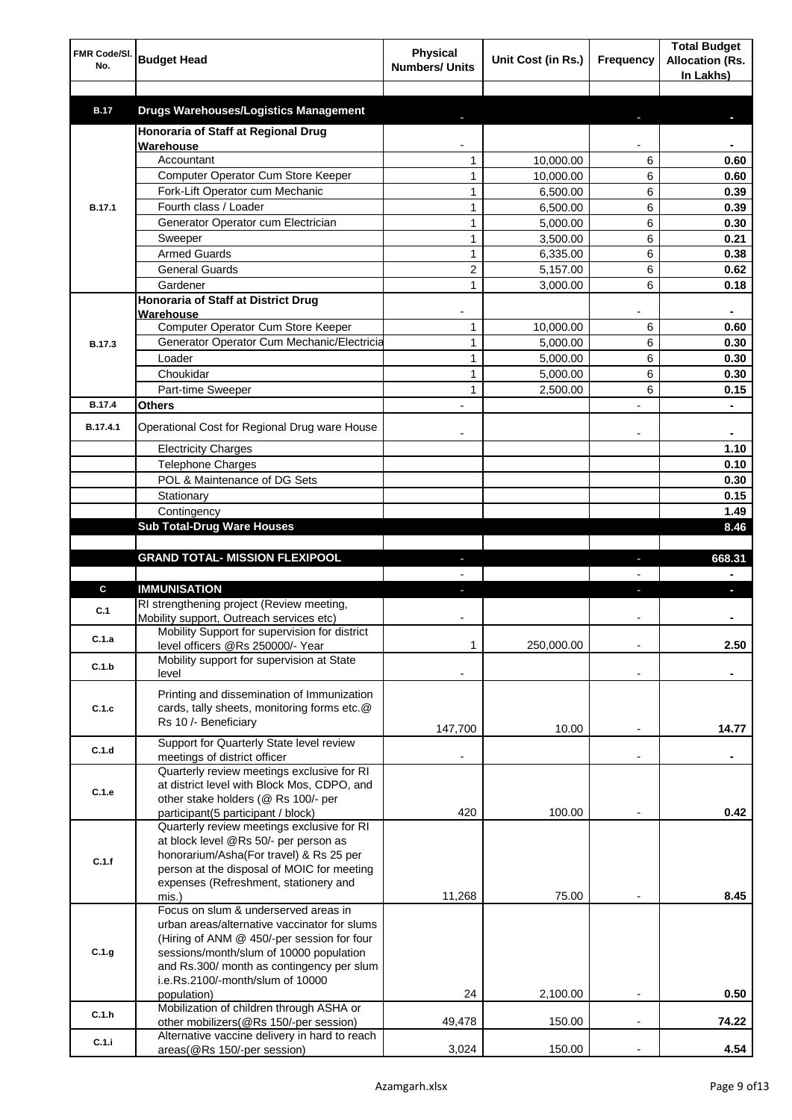| FMR Code/SI.<br>No. | <b>Budget Head</b>                                                                | <b>Physical</b><br><b>Numbers/ Units</b> | Unit Cost (in Rs.)   | Frequency                | <b>Total Budget</b><br><b>Allocation (Rs.</b> |
|---------------------|-----------------------------------------------------------------------------------|------------------------------------------|----------------------|--------------------------|-----------------------------------------------|
|                     |                                                                                   |                                          |                      |                          | In Lakhs)                                     |
|                     |                                                                                   |                                          |                      |                          |                                               |
| <b>B.17</b>         | <b>Drugs Warehouses/Logistics Management</b>                                      |                                          |                      |                          |                                               |
|                     | Honoraria of Staff at Regional Drug                                               |                                          |                      |                          |                                               |
|                     | Warehouse                                                                         |                                          |                      |                          |                                               |
|                     | Accountant<br><b>Computer Operator Cum Store Keeper</b>                           | 1                                        | 10,000.00            | 6                        | 0.60                                          |
|                     | Fork-Lift Operator cum Mechanic                                                   | 1<br>$\mathbf{1}$                        | 10,000.00            | 6<br>6                   | 0.60                                          |
|                     | Fourth class / Loader                                                             | $\mathbf{1}$                             | 6,500.00<br>6,500.00 | 6                        | 0.39<br>0.39                                  |
| <b>B.17.1</b>       | Generator Operator cum Electrician                                                | $\mathbf{1}$                             | 5,000.00             | 6                        | 0.30                                          |
|                     | Sweeper                                                                           | $\mathbf{1}$                             | 3,500.00             | 6                        | 0.21                                          |
|                     | <b>Armed Guards</b>                                                               | $\mathbf{1}$                             | 6,335.00             | 6                        | 0.38                                          |
|                     | <b>General Guards</b>                                                             | $\overline{2}$                           | 5,157.00             | 6                        | 0.62                                          |
|                     | Gardener                                                                          | $\mathbf{1}$                             | 3,000.00             | 6                        | 0.18                                          |
|                     | Honoraria of Staff at District Drug                                               |                                          |                      |                          |                                               |
|                     | Warehouse                                                                         |                                          |                      |                          |                                               |
|                     | Computer Operator Cum Store Keeper                                                | 1                                        | 10.000.00            | 6                        | 0.60                                          |
| <b>B.17.3</b>       | Generator Operator Cum Mechanic/Electricia                                        | $\mathbf{1}$                             | 5,000.00             | 6                        | 0.30                                          |
|                     | Loader                                                                            | $\mathbf{1}$                             | 5,000.00             | 6                        | 0.30                                          |
|                     | Choukidar                                                                         | $\mathbf{1}$                             | 5,000.00             | 6                        | 0.30                                          |
|                     | Part-time Sweeper                                                                 | $\mathbf{1}$                             | 2,500.00             | 6                        | 0.15                                          |
| <b>B.17.4</b>       | <b>Others</b>                                                                     |                                          |                      |                          |                                               |
| B.17.4.1            | Operational Cost for Regional Drug ware House                                     |                                          |                      |                          | ۰                                             |
|                     | <b>Electricity Charges</b>                                                        |                                          |                      |                          | 1.10                                          |
|                     | Telephone Charges                                                                 |                                          |                      |                          | 0.10                                          |
|                     | POL & Maintenance of DG Sets                                                      |                                          |                      |                          | 0.30                                          |
|                     | Stationary                                                                        |                                          |                      |                          | 0.15                                          |
|                     | Contingency                                                                       |                                          |                      |                          | 1.49                                          |
|                     | <b>Sub Total-Drug Ware Houses</b>                                                 |                                          |                      |                          | 8.46                                          |
|                     |                                                                                   |                                          |                      |                          |                                               |
|                     | <b>GRAND TOTAL- MISSION FLEXIPOOL</b>                                             |                                          |                      |                          | 668.31                                        |
|                     |                                                                                   |                                          |                      |                          |                                               |
| C                   | <b>IMMUNISATION</b>                                                               |                                          |                      |                          |                                               |
|                     |                                                                                   |                                          |                      |                          |                                               |
| C.1                 | RI strengthening project (Review meeting,                                         |                                          |                      |                          |                                               |
|                     | Mobility support, Outreach services etc)                                          |                                          |                      |                          |                                               |
| C.1.a               | Mobility Support for supervision for district<br>level officers @Rs 250000/- Year | 1                                        | 250,000.00           |                          | 2.50                                          |
| C.1.b               | Mobility support for supervision at State                                         |                                          |                      |                          |                                               |
|                     | level                                                                             |                                          |                      |                          |                                               |
|                     | Printing and dissemination of Immunization                                        |                                          |                      |                          |                                               |
| C.1.c               | cards, tally sheets, monitoring forms etc.@                                       |                                          |                      |                          |                                               |
|                     | Rs 10 /- Beneficiary                                                              | 147,700                                  | 10.00                |                          | 14.77                                         |
| C.1.d               | Support for Quarterly State level review                                          |                                          |                      |                          |                                               |
|                     | meetings of district officer                                                      |                                          |                      |                          |                                               |
|                     | Quarterly review meetings exclusive for RI                                        |                                          |                      |                          |                                               |
| C.1.e               | at district level with Block Mos, CDPO, and                                       |                                          |                      |                          |                                               |
|                     | other stake holders (@ Rs 100/- per<br>participant(5 participant / block)         | 420                                      | 100.00               |                          | 0.42                                          |
|                     | Quarterly review meetings exclusive for RI                                        |                                          |                      |                          |                                               |
|                     | at block level @Rs 50/- per person as                                             |                                          |                      |                          |                                               |
| C.1.f               | honorarium/Asha(For travel) & Rs 25 per                                           |                                          |                      |                          |                                               |
|                     | person at the disposal of MOIC for meeting                                        |                                          |                      |                          |                                               |
|                     | expenses (Refreshment, stationery and                                             |                                          |                      |                          |                                               |
|                     | mis.)<br>Focus on slum & underserved areas in                                     | 11,268                                   | 75.00                |                          | 8.45                                          |
|                     | urban areas/alternative vaccinator for slums                                      |                                          |                      |                          |                                               |
|                     | (Hiring of ANM @ 450/-per session for four                                        |                                          |                      |                          |                                               |
| C.1.g               | sessions/month/slum of 10000 population                                           |                                          |                      |                          |                                               |
|                     | and Rs.300/ month as contingency per slum                                         |                                          |                      |                          |                                               |
|                     | i.e.Rs.2100/-month/slum of 10000                                                  |                                          |                      |                          |                                               |
|                     | population)<br>Mobilization of children through ASHA or                           | 24                                       | 2,100.00             |                          | 0.50                                          |
| C.1.h               | other mobilizers (@Rs 150/-per session)                                           | 49,478                                   | 150.00               | $\overline{\phantom{a}}$ | 74.22                                         |
| C.1.i               | Alternative vaccine delivery in hard to reach<br>areas(@Rs 150/-per session)      | 3,024                                    | 150.00               |                          | 4.54                                          |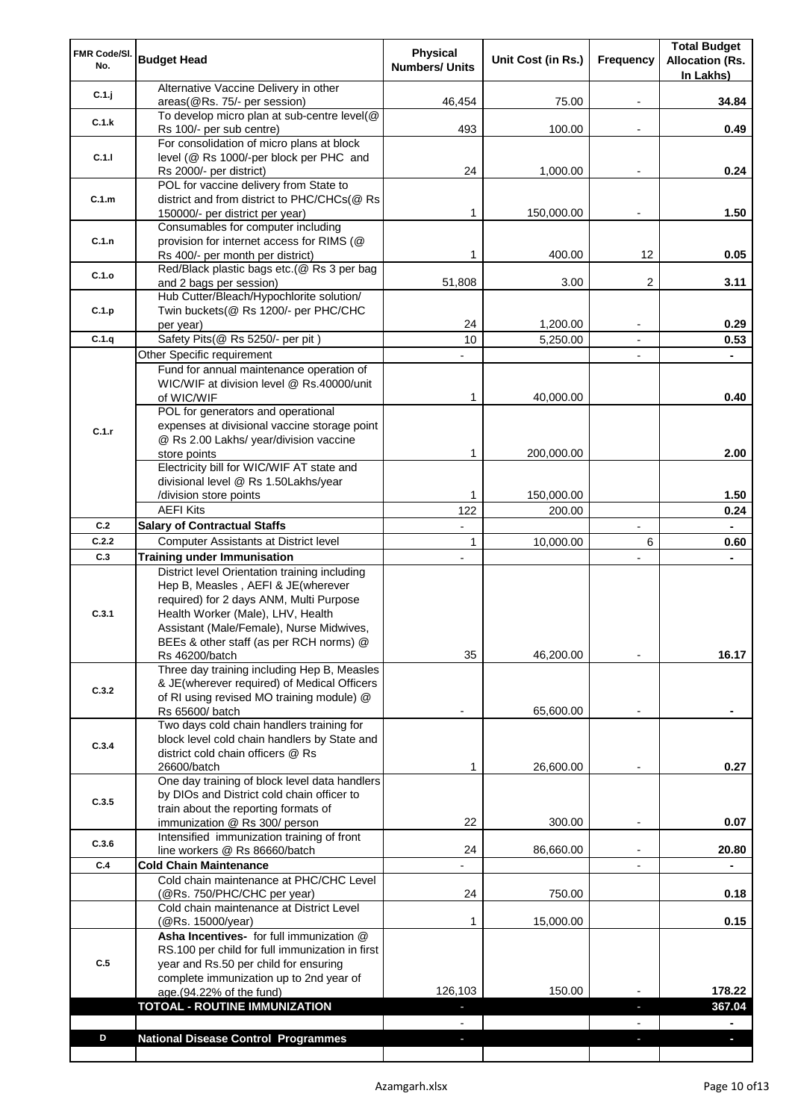| FMR Code/SI.<br>No. | <b>Budget Head</b>                                                                          | <b>Physical</b><br><b>Numbers/ Units</b> | Unit Cost (in Rs.) | Frequency | <b>Total Budget</b><br><b>Allocation (Rs.</b><br>In Lakhs) |
|---------------------|---------------------------------------------------------------------------------------------|------------------------------------------|--------------------|-----------|------------------------------------------------------------|
| C.1.j               | Alternative Vaccine Delivery in other<br>areas(@Rs. 75/- per session)                       | 46,454                                   | 75.00              |           | 34.84                                                      |
| C.1.k               | To develop micro plan at sub-centre level(@                                                 |                                          |                    |           |                                                            |
|                     | Rs 100/- per sub centre)<br>For consolidation of micro plans at block                       | 493                                      | 100.00             |           | 0.49                                                       |
| C.1.1               | level (@ Rs 1000/-per block per PHC and                                                     |                                          |                    |           |                                                            |
|                     | Rs 2000/- per district)                                                                     | 24                                       | 1,000.00           |           | 0.24                                                       |
| C.1.m               | POL for vaccine delivery from State to<br>district and from district to PHC/CHCs(@ Rs       |                                          |                    |           |                                                            |
|                     | 150000/- per district per year)                                                             | 1                                        | 150,000.00         |           | 1.50                                                       |
|                     | Consumables for computer including                                                          |                                          |                    |           |                                                            |
| C.1.n               | provision for internet access for RIMS (@                                                   |                                          |                    |           |                                                            |
|                     | Rs 400/- per month per district)<br>Red/Black plastic bags etc.(@ Rs 3 per bag              | 1                                        | 400.00             | 12        | 0.05                                                       |
| C.1.o               | and 2 bags per session)                                                                     | 51,808                                   | 3.00               | 2         | 3.11                                                       |
|                     | Hub Cutter/Bleach/Hypochlorite solution/                                                    |                                          |                    |           |                                                            |
| C.1.p               | Twin buckets (@ Rs 1200/- per PHC/CHC<br>per year)                                          | 24                                       | 1,200.00           |           | 0.29                                                       |
| C.1.q               | Safety Pits(@ Rs 5250/- per pit)                                                            | 10                                       | 5,250.00           |           | 0.53                                                       |
|                     | Other Specific requirement                                                                  |                                          |                    |           |                                                            |
|                     | Fund for annual maintenance operation of                                                    |                                          |                    |           |                                                            |
|                     | WIC/WIF at division level @ Rs.40000/unit                                                   | 1                                        | 40,000.00          |           | 0.40                                                       |
|                     | of WIC/WIF<br>POL for generators and operational                                            |                                          |                    |           |                                                            |
| C.1.r               | expenses at divisional vaccine storage point                                                |                                          |                    |           |                                                            |
|                     | @ Rs 2.00 Lakhs/ year/division vaccine                                                      |                                          |                    |           |                                                            |
|                     | store points<br>Electricity bill for WIC/WIF AT state and                                   | 1                                        | 200,000.00         |           | 2.00                                                       |
|                     | divisional level @ Rs 1.50Lakhs/year                                                        |                                          |                    |           |                                                            |
|                     | /division store points                                                                      | 1                                        | 150,000.00         |           | 1.50                                                       |
|                     | <b>AEFI Kits</b>                                                                            | 122                                      | 200.00             |           | 0.24                                                       |
| C.2                 | <b>Salary of Contractual Staffs</b>                                                         |                                          |                    |           |                                                            |
| C.2.2<br>C.3        | <b>Computer Assistants at District level</b><br><b>Training under Immunisation</b>          | 1                                        | 10,000.00          | 6         | 0.60                                                       |
|                     | District level Orientation training including                                               |                                          |                    |           |                                                            |
|                     | Hep B, Measles, AEFI & JE(wherever                                                          |                                          |                    |           |                                                            |
|                     | required) for 2 days ANM, Multi Purpose                                                     |                                          |                    |           |                                                            |
| C.3.1               | Health Worker (Male), LHV, Health<br>Assistant (Male/Female), Nurse Midwives,               |                                          |                    |           |                                                            |
|                     | BEEs & other staff (as per RCH norms) @                                                     |                                          |                    |           |                                                            |
|                     | Rs 46200/batch                                                                              | 35                                       | 46,200.00          |           | 16.17                                                      |
|                     | Three day training including Hep B, Measles                                                 |                                          |                    |           |                                                            |
| C.3.2               | & JE(wherever required) of Medical Officers<br>of RI using revised MO training module) @    |                                          |                    |           |                                                            |
|                     | Rs 65600/ batch                                                                             |                                          | 65,600.00          |           |                                                            |
|                     | Two days cold chain handlers training for                                                   |                                          |                    |           |                                                            |
| C.3.4               | block level cold chain handlers by State and<br>district cold chain officers @ Rs           |                                          |                    |           |                                                            |
|                     | 26600/batch                                                                                 | 1                                        | 26,600.00          |           | 0.27                                                       |
|                     | One day training of block level data handlers                                               |                                          |                    |           |                                                            |
| C.3.5               | by DIOs and District cold chain officer to                                                  |                                          |                    |           |                                                            |
|                     | train about the reporting formats of<br>immunization @ Rs 300/ person                       | 22                                       | 300.00             |           | 0.07                                                       |
| C.3.6               | Intensified immunization training of front                                                  |                                          |                    |           |                                                            |
|                     | line workers @ Rs 86660/batch                                                               | 24                                       | 86,660.00          |           | 20.80                                                      |
| C.4                 | <b>Cold Chain Maintenance</b><br>Cold chain maintenance at PHC/CHC Level                    |                                          |                    |           |                                                            |
|                     | (@Rs. 750/PHC/CHC per year)                                                                 | 24                                       | 750.00             |           | 0.18                                                       |
|                     | Cold chain maintenance at District Level                                                    |                                          |                    |           |                                                            |
|                     | (@Rs. 15000/year)                                                                           | 1                                        | 15,000.00          |           | 0.15                                                       |
|                     | Asha Incentives- for full immunization @<br>RS.100 per child for full immunization in first |                                          |                    |           |                                                            |
| C.5                 | year and Rs.50 per child for ensuring                                                       |                                          |                    |           |                                                            |
|                     | complete immunization up to 2nd year of                                                     |                                          |                    |           |                                                            |
|                     | age.(94.22% of the fund)                                                                    | 126,103                                  | 150.00             |           | 178.22                                                     |
|                     | TOTOAL - ROUTINE IMMUNIZATION                                                               | ٠                                        |                    | F         | 367.04                                                     |
| D                   | <b>National Disease Control Programmes</b>                                                  | $\blacksquare$<br>٠                      |                    | J,        | $\blacksquare$<br>H,                                       |
|                     |                                                                                             |                                          |                    |           |                                                            |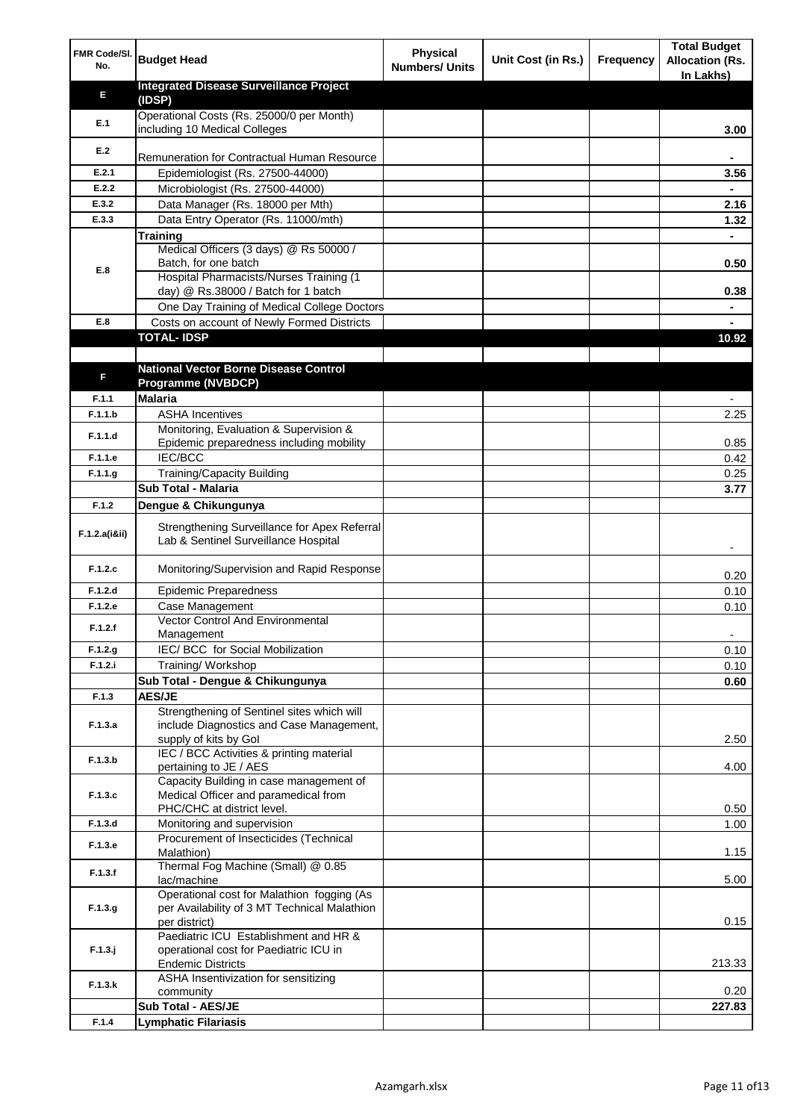| FMR Code/SI.<br>No. | <b>Budget Head</b>                                                                                              | <b>Physical</b><br><b>Numbers/ Units</b> | Unit Cost (in Rs.) | Frequency | <b>Total Budget</b><br><b>Allocation (Rs.</b><br>In Lakhs) |
|---------------------|-----------------------------------------------------------------------------------------------------------------|------------------------------------------|--------------------|-----------|------------------------------------------------------------|
| Е                   | <b>Integrated Disease Surveillance Project</b>                                                                  |                                          |                    |           |                                                            |
|                     | (IDSP)                                                                                                          |                                          |                    |           |                                                            |
| E.1                 | Operational Costs (Rs. 25000/0 per Month)<br>including 10 Medical Colleges                                      |                                          |                    |           | 3.00                                                       |
|                     |                                                                                                                 |                                          |                    |           |                                                            |
| E.2                 | Remuneration for Contractual Human Resource                                                                     |                                          |                    |           |                                                            |
| E.2.1               | Epidemiologist (Rs. 27500-44000)                                                                                |                                          |                    |           | 3.56                                                       |
| E.2.2               | Microbiologist (Rs. 27500-44000)                                                                                |                                          |                    |           |                                                            |
| E.3.2<br>E.3.3      | Data Manager (Rs. 18000 per Mth)<br>Data Entry Operator (Rs. 11000/mth)                                         |                                          |                    |           | 2.16                                                       |
|                     | Training                                                                                                        |                                          |                    |           | 1.32                                                       |
|                     | Medical Officers (3 days) @ Rs 50000 /                                                                          |                                          |                    |           |                                                            |
|                     | Batch, for one batch                                                                                            |                                          |                    |           | 0.50                                                       |
| E.8                 | Hospital Pharmacists/Nurses Training (1                                                                         |                                          |                    |           |                                                            |
|                     | day) @ Rs.38000 / Batch for 1 batch                                                                             |                                          |                    |           | 0.38                                                       |
|                     | One Day Training of Medical College Doctors                                                                     |                                          |                    |           |                                                            |
| E.8                 | Costs on account of Newly Formed Districts                                                                      |                                          |                    |           |                                                            |
|                     | <b>TOTAL-IDSP</b>                                                                                               |                                          |                    |           | 10.92                                                      |
|                     | <b>National Vector Borne Disease Control</b>                                                                    |                                          |                    |           |                                                            |
| F                   | Programme (NVBDCP)                                                                                              |                                          |                    |           |                                                            |
| F.1.1               | <b>Malaria</b>                                                                                                  |                                          |                    |           |                                                            |
| F.1.1.b             | <b>ASHA Incentives</b>                                                                                          |                                          |                    |           | 2.25                                                       |
|                     | Monitoring, Evaluation & Supervision &                                                                          |                                          |                    |           |                                                            |
| F.1.1.d             | Epidemic preparedness including mobility                                                                        |                                          |                    |           | 0.85                                                       |
| F.1.1.e             | <b>IEC/BCC</b>                                                                                                  |                                          |                    |           | 0.42                                                       |
| F.1.1.g             | <b>Training/Capacity Building</b>                                                                               |                                          |                    |           | 0.25                                                       |
|                     | Sub Total - Malaria                                                                                             |                                          |                    |           | 3.77                                                       |
| F.1.2               | Dengue & Chikungunya                                                                                            |                                          |                    |           |                                                            |
| F.1.2.a(iⅈ)         | Strengthening Surveillance for Apex Referral<br>Lab & Sentinel Surveillance Hospital                            |                                          |                    |           |                                                            |
| F.1.2.c             | Monitoring/Supervision and Rapid Response                                                                       |                                          |                    |           | 0.20                                                       |
| F.1.2.d             | <b>Epidemic Preparedness</b>                                                                                    |                                          |                    |           | 0.10                                                       |
| F.1.2.e             | Case Management                                                                                                 |                                          |                    |           | 0.10                                                       |
| F.1.2.f             | <b>Vector Control And Environmental</b>                                                                         |                                          |                    |           |                                                            |
| F.1.2.g             | Management<br>IEC/ BCC for Social Mobilization                                                                  |                                          |                    |           | 0.10                                                       |
| F.1.2.i             | Training/Workshop                                                                                               |                                          |                    |           | 0.10                                                       |
|                     | Sub Total - Dengue & Chikungunya                                                                                |                                          |                    |           | 0.60                                                       |
| F.1.3               | <b>AES/JE</b>                                                                                                   |                                          |                    |           |                                                            |
| F.1.3.a             | Strengthening of Sentinel sites which will<br>include Diagnostics and Case Management,<br>supply of kits by Gol |                                          |                    |           | 2.50                                                       |
| F.1.3.b             | IEC / BCC Activities & printing material<br>pertaining to JE / AES                                              |                                          |                    |           | 4.00                                                       |
| F.1.3.c             | Capacity Building in case management of<br>Medical Officer and paramedical from                                 |                                          |                    |           |                                                            |
|                     | PHC/CHC at district level.                                                                                      |                                          |                    |           | 0.50                                                       |
| F.1.3.d             | Monitoring and supervision<br>Procurement of Insecticides (Technical                                            |                                          |                    |           | 1.00                                                       |
| F.1.3.e             | Malathion)<br>Thermal Fog Machine (Small) @ 0.85                                                                |                                          |                    |           | 1.15                                                       |
| F.1.3.f             | lac/machine                                                                                                     |                                          |                    |           | 5.00                                                       |
| F.1.3.g             | Operational cost for Malathion fogging (As<br>per Availability of 3 MT Technical Malathion<br>per district)     |                                          |                    |           | 0.15                                                       |
| $F.1.3.$ j          | Paediatric ICU Establishment and HR &<br>operational cost for Paediatric ICU in<br><b>Endemic Districts</b>     |                                          |                    |           | 213.33                                                     |
| F.1.3.k             | ASHA Insentivization for sensitizing<br>community                                                               |                                          |                    |           | 0.20                                                       |
|                     | Sub Total - AES/JE                                                                                              |                                          |                    |           | 227.83                                                     |
| F.1.4               | <b>Lymphatic Filariasis</b>                                                                                     |                                          |                    |           |                                                            |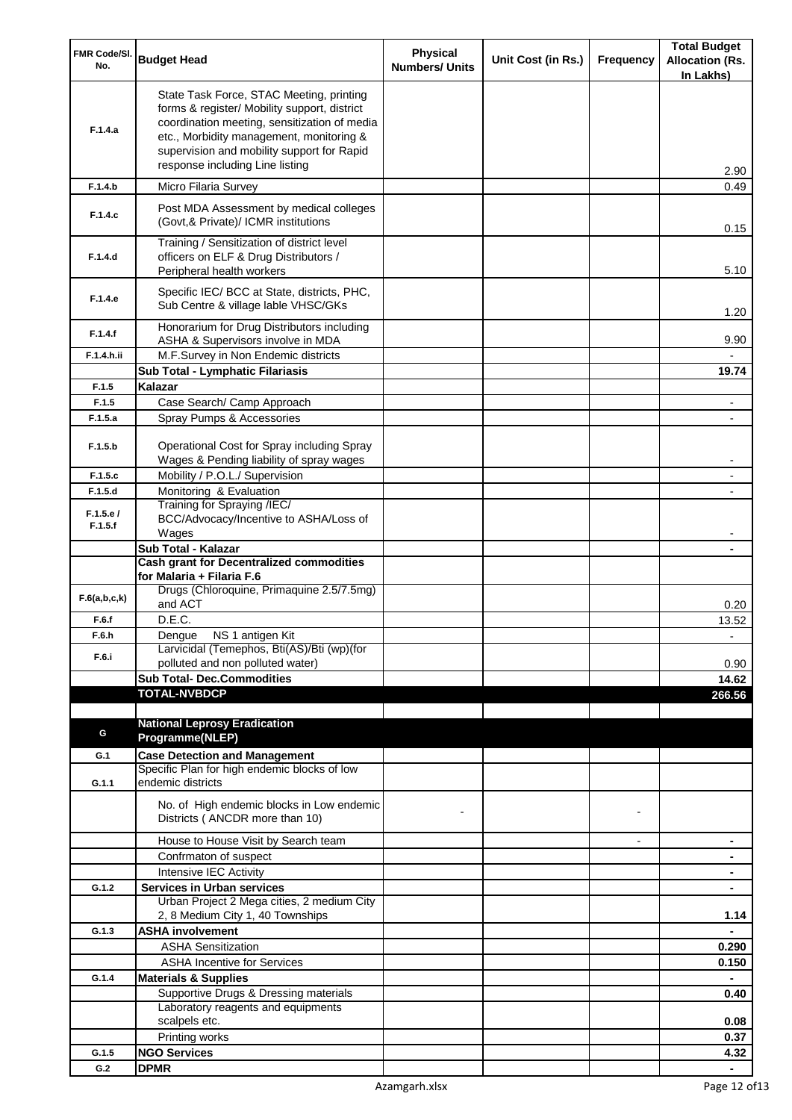| FMR Code/SI.<br>No. | <b>Budget Head</b>                                                                                                                                                                                                                                                    | <b>Physical</b><br><b>Numbers/ Units</b> | Unit Cost (in Rs.) | Frequency      | <b>Total Budget</b><br><b>Allocation (Rs.</b><br>In Lakhs) |
|---------------------|-----------------------------------------------------------------------------------------------------------------------------------------------------------------------------------------------------------------------------------------------------------------------|------------------------------------------|--------------------|----------------|------------------------------------------------------------|
| F.1.4.a             | State Task Force, STAC Meeting, printing<br>forms & register/ Mobility support, district<br>coordination meeting, sensitization of media<br>etc., Morbidity management, monitoring &<br>supervision and mobility support for Rapid<br>response including Line listing |                                          |                    |                | 2.90                                                       |
| F.1.4.b             | Micro Filaria Survey                                                                                                                                                                                                                                                  |                                          |                    |                | 0.49                                                       |
| F.1.4.c             | Post MDA Assessment by medical colleges<br>(Govt, & Private)/ ICMR institutions                                                                                                                                                                                       |                                          |                    |                | 0.15                                                       |
| F.1.4.d             | Training / Sensitization of district level<br>officers on ELF & Drug Distributors /<br>Peripheral health workers                                                                                                                                                      |                                          |                    |                | 5.10                                                       |
| F.1.4.e             | Specific IEC/ BCC at State, districts, PHC,<br>Sub Centre & village lable VHSC/GKs                                                                                                                                                                                    |                                          |                    |                | 1.20                                                       |
| F.1.4.f             | Honorarium for Drug Distributors including<br>ASHA & Supervisors involve in MDA                                                                                                                                                                                       |                                          |                    |                | 9.90                                                       |
| F.1.4.h.ii          | M.F.Survey in Non Endemic districts                                                                                                                                                                                                                                   |                                          |                    |                |                                                            |
|                     | Sub Total - Lymphatic Filariasis                                                                                                                                                                                                                                      |                                          |                    |                | 19.74                                                      |
| F.1.5<br>F.1.5      | Kalazar<br>Case Search/ Camp Approach                                                                                                                                                                                                                                 |                                          |                    |                |                                                            |
| F.1.5.a             | Spray Pumps & Accessories                                                                                                                                                                                                                                             |                                          |                    |                |                                                            |
| F.1.5.b             | Operational Cost for Spray including Spray                                                                                                                                                                                                                            |                                          |                    |                |                                                            |
| F.1.5.c             | Wages & Pending liability of spray wages<br>Mobility / P.O.L./ Supervision                                                                                                                                                                                            |                                          |                    |                |                                                            |
| F.1.5.d             | Monitoring & Evaluation                                                                                                                                                                                                                                               |                                          |                    |                |                                                            |
|                     | Training for Spraying /IEC/                                                                                                                                                                                                                                           |                                          |                    |                |                                                            |
| F.1.5.e/<br>F.1.5.f | BCC/Advocacy/Incentive to ASHA/Loss of                                                                                                                                                                                                                                |                                          |                    |                |                                                            |
|                     | Wages                                                                                                                                                                                                                                                                 |                                          |                    |                |                                                            |
|                     | Sub Total - Kalazar<br><b>Cash grant for Decentralized commodities</b>                                                                                                                                                                                                |                                          |                    |                |                                                            |
|                     | for Malaria + Filaria F.6                                                                                                                                                                                                                                             |                                          |                    |                |                                                            |
| F.6(a,b,c,k)        | Drugs (Chloroquine, Primaquine 2.5/7.5mg)<br>and ACT                                                                                                                                                                                                                  |                                          |                    |                | 0.20                                                       |
| F.6.f               | D.E.C.                                                                                                                                                                                                                                                                |                                          |                    |                | 13.52                                                      |
| F.6.h<br>F.6.i      | Dengue NS 1 antigen Kit<br>Larvicidal (Temephos, Bti(AS)/Bti (wp)(for<br>polluted and non polluted water)                                                                                                                                                             |                                          |                    |                | 0.90                                                       |
|                     | <b>Sub Total- Dec.Commodities</b>                                                                                                                                                                                                                                     |                                          |                    |                | 14.62                                                      |
|                     | <b>TOTAL-NVBDCP</b>                                                                                                                                                                                                                                                   |                                          |                    |                | 266.56                                                     |
|                     |                                                                                                                                                                                                                                                                       |                                          |                    |                |                                                            |
| G                   | <b>National Leprosy Eradication</b><br>Programme(NLEP)                                                                                                                                                                                                                |                                          |                    |                |                                                            |
| G.1                 | <b>Case Detection and Management</b>                                                                                                                                                                                                                                  |                                          |                    |                |                                                            |
|                     | Specific Plan for high endemic blocks of low                                                                                                                                                                                                                          |                                          |                    |                |                                                            |
| G.1.1               | endemic districts                                                                                                                                                                                                                                                     |                                          |                    |                |                                                            |
|                     | No. of High endemic blocks in Low endemic<br>Districts (ANCDR more than 10)                                                                                                                                                                                           |                                          |                    |                |                                                            |
|                     | House to House Visit by Search team                                                                                                                                                                                                                                   |                                          |                    | $\blacksquare$ | ۰                                                          |
|                     | Confrmaton of suspect                                                                                                                                                                                                                                                 |                                          |                    |                | ۰                                                          |
|                     | Intensive IEC Activity                                                                                                                                                                                                                                                |                                          |                    |                | ۰                                                          |
| G.1.2               | <b>Services in Urban services</b><br>Urban Project 2 Mega cities, 2 medium City                                                                                                                                                                                       |                                          |                    |                | $\blacksquare$                                             |
|                     | 2, 8 Medium City 1, 40 Townships                                                                                                                                                                                                                                      |                                          |                    |                | 1.14                                                       |
| G.1.3               | <b>ASHA involvement</b>                                                                                                                                                                                                                                               |                                          |                    |                |                                                            |
|                     | <b>ASHA Sensitization</b>                                                                                                                                                                                                                                             |                                          |                    |                | 0.290                                                      |
|                     | <b>ASHA Incentive for Services</b>                                                                                                                                                                                                                                    |                                          |                    |                | 0.150                                                      |
| G.1.4               | <b>Materials &amp; Supplies</b>                                                                                                                                                                                                                                       |                                          |                    |                |                                                            |
|                     | Supportive Drugs & Dressing materials                                                                                                                                                                                                                                 |                                          |                    |                | 0.40                                                       |
|                     | Laboratory reagents and equipments<br>scalpels etc.                                                                                                                                                                                                                   |                                          |                    |                | 0.08                                                       |
|                     | Printing works                                                                                                                                                                                                                                                        |                                          |                    |                | 0.37                                                       |
| G.1.5               | <b>NGO Services</b>                                                                                                                                                                                                                                                   |                                          |                    |                | 4.32                                                       |
| G.2                 | <b>DPMR</b>                                                                                                                                                                                                                                                           |                                          |                    |                |                                                            |